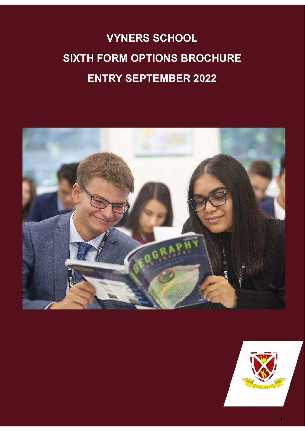# **VYNERS SCHOOL SIXTH FORM OPTIONS BROCHURE ENTRY SEPTEMBER 2022**



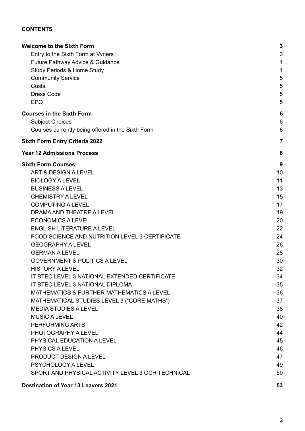### **CONTENTS**

| <b>Welcome to the Sixth Form</b>                  | 3              |
|---------------------------------------------------|----------------|
| Entry to the Sixth Form at Vyners                 | 3              |
| Future Pathway Advice & Guidance                  | 4              |
| <b>Study Periods &amp; Home Study</b>             | 4              |
| <b>Community Service</b>                          | 5              |
| Costs                                             | 5              |
| <b>Dress Code</b>                                 | 5              |
| <b>EPQ</b>                                        | 5              |
| <b>Courses in the Sixth Form</b>                  | 6              |
| <b>Subject Choices</b>                            | 6              |
| Courses currently being offered in the Sixth Form | 6              |
| <b>Sixth Form Entry Criteria 2022</b>             | $\overline{7}$ |
| <b>Year 12 Admissions Process</b>                 | 8              |
| <b>Sixth Form Courses</b>                         | 9              |
| <b>ART &amp; DESIGN A LEVEL</b>                   | 10             |
| <b>BIOLOGY A LEVEL</b>                            | 11             |
| <b>BUSINESS A LEVEL</b>                           | 13             |
| <b>CHEMISTRY A LEVEL</b>                          | 15             |
| <b>COMPUTING A LEVEL</b>                          | 17             |
| DRAMA AND THEATRE A LEVEL                         | 19             |
| <b>ECONOMICS A LEVEL</b>                          | 20             |
| <b>ENGLISH LITERATURE A LEVEL</b>                 | 22             |
| FOOD SCIENCE AND NUTRITION LEVEL 3 CERTIFICATE    | 24             |
| <b>GEOGRAPHY A LEVEL</b>                          | 26             |
| <b>GERMAN A LEVEL</b>                             | 28             |
| <b>GOVERNMENT &amp; POLITICS A LEVEL</b>          | 30             |
| <b>HISTORY A LEVEL</b>                            | 32             |
| IT BTEC LEVEL 3 NATIONAL EXTENDED CERTIFICATE     | 34             |
| IT BTEC LEVEL 3 NATIONAL DIPLOMA                  | 35             |
| MATHEMATICS & FURTHER MATHEMATICS A LEVEL         | 36             |
| MATHEMATICAL STUDIES LEVEL 3 ("CORE MATHS")       | 37             |
| <b>MEDIA STUDIES A LEVEL</b>                      | 38             |
| <b>MUSIC A LEVEL</b>                              | 40             |
| PERFORMING ARTS                                   | 42             |
| PHOTOGRAPHY A LEVEL                               | 44             |
| PHYSICAL EDUCATION A LEVEL                        | 45             |
| <b>PHYSICS A LEVEL</b>                            | 46             |
| PRODUCT DESIGN A LEVEL                            | 47             |
| <b>PSYCHOLOGY A LEVEL</b>                         | 49             |
| SPORT AND PHYSICAL ACTIVITY LEVEL 3 OCR TECHNICAL | 50             |
| <b>Destination of Year 13 Leavers 2021</b>        | 53             |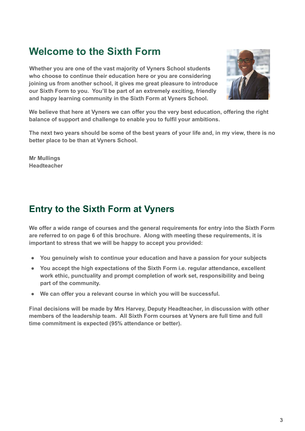# <span id="page-2-0"></span>**Welcome to the Sixth Form**

**Whether you are one of the vast majority of Vyners School students who choose to continue their education here or you are considering joining us from another school, it gives me great pleasure to introduce our Sixth Form to you. You'll be part of an extremely exciting, friendly and happy learning community in the Sixth Form at Vyners School.**



**We believe that here at Vyners we can offer you the very best education, offering the right balance of support and challenge to enable you to fulfil your ambitions.**

**The next two years should be some of the best years of your life and, in my view, there is no better place to be than at Vyners School.**

**Mr Mullings Headteacher**

# <span id="page-2-1"></span>**Entry to the Sixth Form at Vyners**

**We offer a wide range of courses and the general requirements for entry into the Sixth Form are referred to on page 6 of this brochure. Along with meeting these requirements, it is important to stress that we will be happy to accept you provided:**

- **You genuinely wish to continue your education and have a passion for your subjects**
- **You accept the high expectations of the Sixth Form i.e. regular attendance, excellent work ethic, punctuality and prompt completion of work set, responsibility and being part of the community.**
- **We can offer you a relevant course in which you will be successful.**

<span id="page-2-2"></span>**Final decisions will be made by Mrs Harvey, Deputy Headteacher, in discussion with other members of the leadership team. All Sixth Form courses at Vyners are full time and full time commitment is expected (95% attendance or better).**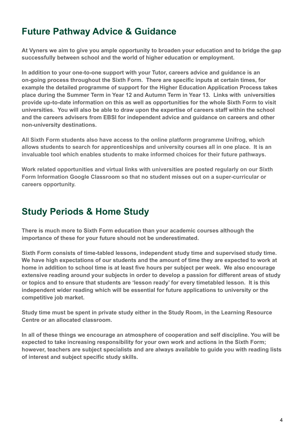# **Future Pathway Advice & Guidance**

**At Vyners we aim to give you ample opportunity to broaden your education and to bridge the gap successfully between school and the world of higher education or employment.**

**In addition to your one-to-one support with your Tutor, careers advice and guidance is an on-going process throughout the Sixth Form. There are specific inputs at certain times, for example the detailed programme of support for the Higher Education Application Process takes place during the Summer Term in Year 12 and Autumn Term in Year 13. Links with universities provide up-to-date information on this as well as opportunities for the whole Sixth Form to visit universities. You will also be able to draw upon the expertise of careers staff within the school and the careers advisers from EBSI for independent advice and guidance on careers and other non-university destinations.**

**All Sixth Form students also have access to the online platform programme Unifrog, which allows students to search for apprenticeships and university courses all in one place. It is an invaluable tool which enables students to make informed choices for their future pathways.**

**Work related opportunities and virtual links with universities are posted regularly on our Sixth Form Information Google Classroom so that no student misses out on a super-curricular or careers opportunity.**

# <span id="page-3-0"></span>**Study Periods & Home Study**

**There is much more to Sixth Form education than your academic courses although the importance of these for your future should not be underestimated.**

**Sixth Form consists of time-tabled lessons, independent study time and supervised study time. We have high expectations of our students and the amount of time they are expected to work at home in addition to school time is at least five hours per subject per week. We also encourage extensive reading around your subjects in order to develop a passion for different areas of study or topics and to ensure that students are 'lesson ready' for every timetabled lesson. It is this independent wider reading which will be essential for future applications to university or the competitive job market.**

**Study time must be spent in private study either in the Study Room, in the Learning Resource Centre or an allocated classroom.**

**In all of these things we encourage an atmosphere of cooperation and self discipline. You will be expected to take increasing responsibility for your own work and actions in the Sixth Form; however, teachers are subject specialists and are always available to guide you with reading lists of interest and subject specific study skills.**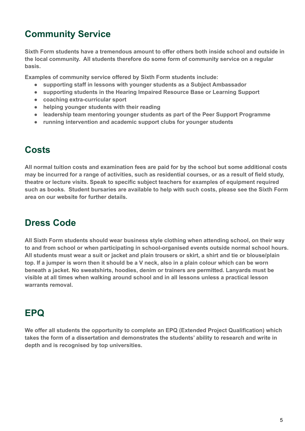# <span id="page-4-0"></span>**Community Service**

**Sixth Form students have a tremendous amount to offer others both inside school and outside in the local community. All students therefore do some form of community service on a regular basis.**

**Examples of community service offered by Sixth Form students include:**

- **supporting staff in lessons with younger students as a Subject Ambassador**
- **supporting students in the Hearing Impaired Resource Base or Learning Support**
- **coaching extra-curricular sport**
- **helping younger students with their reading**
- **leadership team mentoring younger students as part of the Peer Support Programme**
- **running intervention and academic support clubs for younger students**

# <span id="page-4-1"></span>**Costs**

**All normal tuition costs and examination fees are paid for by the school but some additional costs may be incurred for a range of activities, such as residential courses, or as a result of field study, theatre or lecture visits. Speak to specific subject teachers for examples of equipment required such as books. Student bursaries are available to help with such costs, please see the Sixth Form area on our website for further details.**

# <span id="page-4-2"></span>**Dress Code**

**All Sixth Form students should wear business style clothing when attending school, on their way to and from school or when participating in school-organised events outside normal school hours. All students must wear a suit or jacket and plain trousers or skirt, a shirt and tie or blouse/plain top. If a jumper is worn then it should be a V neck, also in a plain colour which can be worn beneath a jacket. No sweatshirts, hoodies, denim or trainers are permitted. Lanyards must be visible at all times when walking around school and in all lessons unless a practical lesson warrants removal.**

# <span id="page-4-3"></span>**EPQ**

**We offer all students the opportunity to complete an EPQ (Extended Project Qualification) which takes the form of a dissertation and demonstrates the students' ability to research and write in depth and is recognised by top universities.**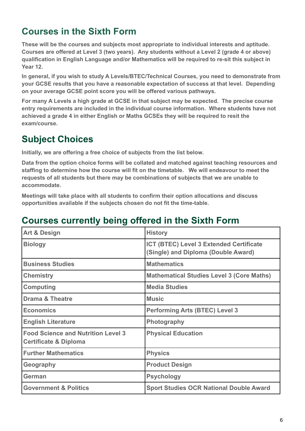# <span id="page-5-0"></span>**Courses in the Sixth Form**

**These will be the courses and subjects most appropriate to individual interests and aptitude. Courses are offered at Level 3 (two years). Any students without a Level 2 (grade 4 or above) qualification in English Language and/or Mathematics will be required to re-sit this subject in Year 12.**

**In general, if you wish to study A Levels/BTEC/Technical Courses, you need to demonstrate from your GCSE results that you have a reasonable expectation of success at that level. Depending on your average GCSE point score you will be offered various pathways.**

**For many A Levels a high grade at GCSE in that subject may be expected. The precise course entry requirements are included in the individual course information. Where students have not achieved a grade 4 in either English or Maths GCSEs they will be required to resit the exam/course.**

# <span id="page-5-1"></span>**Subject Choices**

**Initially, we are offering a free choice of subjects from the list below.**

**Data from the option choice forms will be collated and matched against teaching resources and staffing to determine how the course will fit on the timetable. We will endeavour to meet the requests of all students but there may be combinations of subjects that we are unable to accommodate.**

**Meetings will take place with all students to confirm their option allocations and discuss opportunities available if the subjects chosen do not fit the time-table.**

# <span id="page-5-2"></span>**Courses currently being offered in the Sixth Form**

| <b>Art &amp; Design</b>                                                       | <b>History</b>                                                                 |
|-------------------------------------------------------------------------------|--------------------------------------------------------------------------------|
| <b>Biology</b>                                                                | ICT (BTEC) Level 3 Extended Certificate<br>(Single) and Diploma (Double Award) |
| <b>Business Studies</b>                                                       | <b>Mathematics</b>                                                             |
| <b>Chemistry</b>                                                              | <b>Mathematical Studies Level 3 (Core Maths)</b>                               |
| <b>Computing</b>                                                              | <b>Media Studies</b>                                                           |
| <b>Drama &amp; Theatre</b>                                                    | <b>Music</b>                                                                   |
| <b>Economics</b>                                                              | <b>Performing Arts (BTEC) Level 3</b>                                          |
| <b>English Literature</b>                                                     | <b>Photography</b>                                                             |
| <b>Food Science and Nutrition Level 3</b><br><b>Certificate &amp; Diploma</b> | <b>Physical Education</b>                                                      |
| <b>Further Mathematics</b>                                                    | <b>Physics</b>                                                                 |
| Geography                                                                     | <b>Product Design</b>                                                          |
| German                                                                        | <b>Psychology</b>                                                              |
| <b>Government &amp; Politics</b>                                              | <b>Sport Studies OCR National Double Award</b>                                 |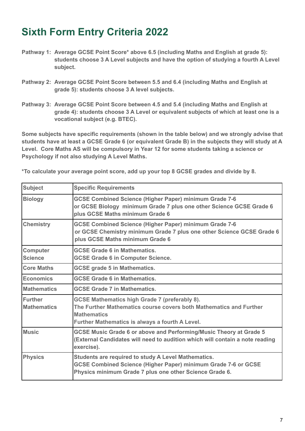# <span id="page-6-0"></span>**Sixth Form Entry Criteria 2022**

- **Pathway 1: Average GCSE Point Score\* above 6.5 (including Maths and English at grade 5): students choose 3 A Level subjects and have the option of studying a fourth A Level subject.**
- **Pathway 2: Average GCSE Point Score between 5.5 and 6.4 (including Maths and English at grade 5): students choose 3 A level subjects.**
- **Pathway 3: Average GCSE Point Score between 4.5 and 5.4 (including Maths and English at grade 4): students choose 3 A Level or equivalent subjects of which at least one is a vocational subject (e.g. BTEC).**

**Some subjects have specific requirements (shown in the table below) and we strongly advise that students have at least a GCSE Grade 6 (or equivalent Grade B) in the subjects they will study at A Level. Core Maths AS will be compulsory in Year 12 for some students taking a science or Psychology if not also studying A Level Maths.**

| <b>Subject</b>                       | <b>Specific Requirements</b>                                                                                                                                                                        |
|--------------------------------------|-----------------------------------------------------------------------------------------------------------------------------------------------------------------------------------------------------|
|                                      |                                                                                                                                                                                                     |
| <b>Biology</b>                       | <b>GCSE Combined Science (Higher Paper) minimum Grade 7-6</b><br>or GCSE Biology minimum Grade 7 plus one other Science GCSE Grade 6<br>plus GCSE Maths minimum Grade 6                             |
| <b>Chemistry</b>                     | <b>GCSE Combined Science (Higher Paper) minimum Grade 7-6</b><br>or GCSE Chemistry minimum Grade 7 plus one other Science GCSE Grade 6<br>plus GCSE Maths minimum Grade 6                           |
| <b>Computer</b><br><b>Science</b>    | <b>GCSE Grade 6 in Mathematics.</b><br><b>GCSE Grade 6 in Computer Science.</b>                                                                                                                     |
| <b>Core Maths</b>                    | <b>GCSE grade 5 in Mathematics.</b>                                                                                                                                                                 |
| Economics                            | <b>GCSE Grade 6 in Mathematics.</b>                                                                                                                                                                 |
| <b>Mathematics</b>                   | <b>GCSE Grade 7 in Mathematics.</b>                                                                                                                                                                 |
| <b>Further</b><br><b>Mathematics</b> | <b>GCSE Mathematics high Grade 7 (preferably 8).</b><br>The Further Mathematics course covers both Mathematics and Further<br><b>Mathematics</b><br>Further Mathematics is always a fourth A Level. |
| <b>Music</b>                         | <b>GCSE Music Grade 6 or above and Performing/Music Theory at Grade 5</b><br>(External Candidates will need to audition which will contain a note reading<br>exercise).                             |
| <b>Physics</b>                       | Students are required to study A Level Mathematics.<br><b>GCSE Combined Science (Higher Paper) minimum Grade 7-6 or GCSE</b><br>Physics minimum Grade 7 plus one other Science Grade 6.             |

**\*To calculate your average point score, add up your top 8 GCSE grades and divide by 8.**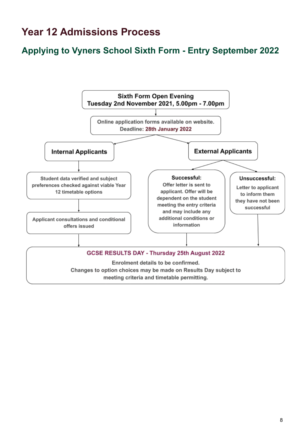# <span id="page-7-0"></span>**Year 12 Admissions Process**

# **Applying to Vyners School Sixth Form - Entry September 2022**

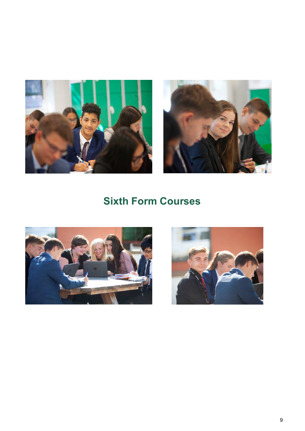



# **Sixth Form Courses**

<span id="page-8-0"></span>

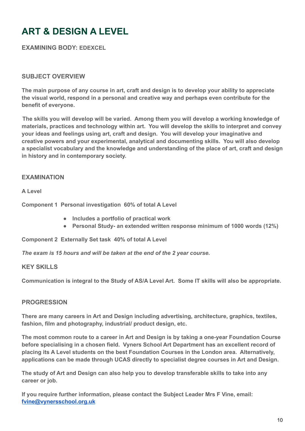# <span id="page-9-0"></span>**ART & DESIGN A LEVEL**

**EXAMINING BODY: EDEXCEL**

### **SUBJECT OVERVIEW**

**The main purpose of any course in art, craft and design is to develop your ability to appreciate the visual world, respond in a personal and creative way and perhaps even contribute for the benefit of everyone.**

**The skills you will develop will be varied. Among them you will develop a working knowledge of materials, practices and technology within art. You will develop the skills to interpret and convey your ideas and feelings using art, craft and design. You will develop your imaginative and creative powers and your experimental, analytical and documenting skills. You will also develop a specialist vocabulary and the knowledge and understanding of the place of art, craft and design in history and in contemporary society.**

### **EXAMINATION**

**A Level**

**Component 1 Personal investigation 60% of total A Level**

- **Includes a portfolio of practical work**
- **Personal Study- an extended written response minimum of 1000 words (12%)**

**Component 2 Externally Set task 40% of total A Level**

*The exam is 15 hours and will be taken at the end of the 2 year course.*

#### **KEY SKILLS**

**Communication is integral to the Study of AS/A Level Art. Some IT skills will also be appropriate.**

#### **PROGRESSION**

**There are many careers in Art and Design including advertising, architecture, graphics, textiles, fashion, film and photography, industrial/ product design, etc.**

**The most common route to a career in Art and Design is by taking a one-year Foundation Course before specialising in a chosen field. Vyners School Art Department has an excellent record of placing its A Level students on the best Foundation Courses in the London area. Alternatively, applications can be made through UCAS directly to specialist degree courses in Art and Design.**

**The study of Art and Design can also help you to develop transferable skills to take into any career or job.**

**If you require further information, please contact the Subject Leader Mrs F Vine, email: [fvine@vynersschool.org.uk](mailto:fvine@vynersschool.org.uk)**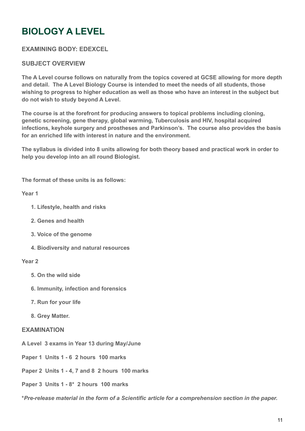# **BIOLOGY A LEVEL**

### **EXAMINING BODY: EDEXCEL**

#### **SUBJECT OVERVIEW**

**The A Level course follows on naturally from the topics covered at GCSE allowing for more depth and detail. The A Level Biology Course is intended to meet the needs of all students, those wishing to progress to higher education as well as those who have an interest in the subject but do not wish to study beyond A Level.**

**The course is at the forefront for producing answers to topical problems including cloning, genetic screening, gene therapy, global warming, Tuberculosis and HIV, hospital acquired infections, keyhole surgery and prostheses and Parkinson's. The course also provides the basis for an enriched life with interest in nature and the environment.**

**The syllabus is divided into 8 units allowing for both theory based and practical work in order to help you develop into an all round Biologist.**

**The format of these units is as follows:**

**Year 1**

- **1. Lifestyle, health and risks**
- **2. Genes and health**
- **3. Voice of the genome**
- **4. Biodiversity and natural resources**

#### **Year 2**

- **5. On the wild side**
- **6. Immunity, infection and forensics**
- **7. Run for your life**
- **8. Grey Matter.**

#### **EXAMINATION**

- **A Level 3 exams in Year 13 during May/June**
- **Paper 1 Units 1 6 2 hours 100 marks**
- **Paper 2 Units 1 4, 7 and 8 2 hours 100 marks**
- **Paper 3 Units 1 8\* 2 hours 100 marks**

**\****Pre-release material in the form of a Scientific article for a comprehension section in the paper.*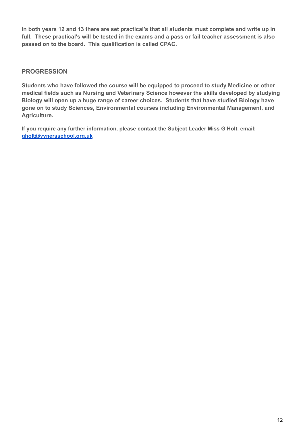**In both years 12 and 13 there are set practical's that all students must complete and write up in full. These practical's will be tested in the exams and a pass or fail teacher assessment is also passed on to the board. This qualification is called CPAC.**

### **PROGRESSION**

**Students who have followed the course will be equipped to proceed to study Medicine or other medical fields such as Nursing and Veterinary Science however the skills developed by studying Biology will open up a huge range of career choices. Students that have studied Biology have gone on to study Sciences, Environmental courses including Environmental Management, and Agriculture.**

**If you require any further information, please contact the Subject Leader Miss G Holt, email: [gholt@vynersschool.org.uk](mailto:gholt@vynersschool.org.uk)**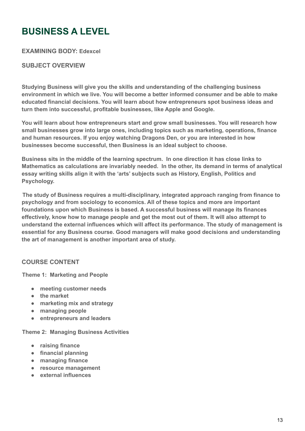# <span id="page-12-0"></span>**BUSINESS A LEVEL**

**EXAMINING BODY: Edexcel**

### **SUBJECT OVERVIEW**

**Studying Business will give you the skills and understanding of the challenging business environment in which we live. You will become a better informed consumer and be able to make educated financial decisions. You will learn about how entrepreneurs spot business ideas and turn them into successful, profitable businesses, like Apple and Google.**

**You will learn about how entrepreneurs start and grow small businesses. You will research how small businesses grow into large ones, including topics such as marketing, operations, finance and human resources. If you enjoy watching Dragons Den, or you are interested in how businesses become successful, then Business is an ideal subject to choose.**

**Business sits in the middle of the learning spectrum. In one direction it has close links to Mathematics as calculations are invariably needed. In the other, its demand in terms of analytical essay writing skills align it with the 'arts' subjects such as History, English, Politics and Psychology.**

**The study of Business requires a multi-disciplinary, integrated approach ranging from finance to psychology and from sociology to economics. All of these topics and more are important foundations upon which Business is based. A successful business will manage its finances effectively, know how to manage people and get the most out of them. It will also attempt to understand the external influences which will affect its performance. The study of management is essential for any Business course. Good managers will make good decisions and understanding the art of management is another important area of study.**

### **COURSE CONTENT**

**Theme 1: Marketing and People**

- **meeting customer needs**
- **the market**
- **marketing mix and strategy**
- **managing people**
- **entrepreneurs and leaders**

**Theme 2: Managing Business Activities**

- **raising finance**
- **financial planning**
- **managing finance**
- **resource management**
- **external influences**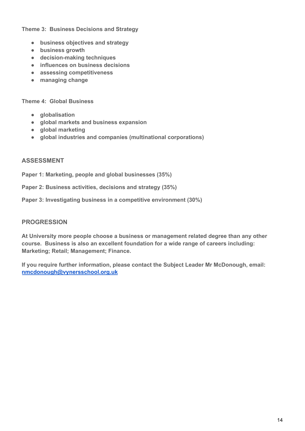**Theme 3: Business Decisions and Strategy**

- **business objectives and strategy**
- **business growth**
- **decision-making techniques**
- **influences on business decisions**
- **assessing competitiveness**
- **managing change**

**Theme 4: Global Business**

- **globalisation**
- **global markets and business expansion**
- **global marketing**
- **global industries and companies (multinational corporations)**

#### **ASSESSMENT**

**Paper 1: Marketing, people and global businesses (35%)**

**Paper 2: Business activities, decisions and strategy (35%)**

**Paper 3: Investigating business in a competitive environment (30%)**

#### **PROGRESSION**

**At University more people choose a business or management related degree than any other course. Business is also an excellent foundation for a wide range of careers including: Marketing; Retail; Management; Finance.**

**If you require further information, please contact the Subject Leader Mr McDonough, email: [nmcdonough@vynersschool.org.uk](mailto:nmcdonough@vynersschool.org.uk)**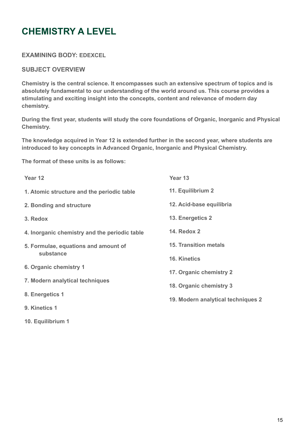# <span id="page-14-0"></span>**CHEMISTRY A LEVEL**

**EXAMINING BODY: EDEXCEL**

**SUBJECT OVERVIEW**

**10. Equilibrium 1**

**Chemistry is the central science. It encompasses such an extensive spectrum of topics and is absolutely fundamental to our understanding of the world around us. This course provides a stimulating and exciting insight into the concepts, content and relevance of modern day chemistry.**

**During the first year, students will study the core foundations of Organic, Inorganic and Physical Chemistry.**

**The knowledge acquired in Year 12 is extended further in the second year, where students are introduced to key concepts in Advanced Organic, Inorganic and Physical Chemistry.**

**The format of these units is as follows:**

| Year 12                                       | Year <sub>13</sub>                 |
|-----------------------------------------------|------------------------------------|
| 1. Atomic structure and the periodic table    | 11. Equilibrium 2                  |
| 2. Bonding and structure                      | 12. Acid-base equilibria           |
| 3. Redox                                      | 13. Energetics 2                   |
| 4. Inorganic chemistry and the periodic table | <b>14. Redox 2</b>                 |
| 5. Formulae, equations and amount of          | <b>15. Transition metals</b>       |
| substance                                     | <b>16. Kinetics</b>                |
| 6. Organic chemistry 1                        | 17. Organic chemistry 2            |
| 7. Modern analytical techniques               | 18. Organic chemistry 3            |
| 8. Energetics 1                               | 19. Modern analytical techniques 2 |
| 9. Kinetics 1                                 |                                    |
|                                               |                                    |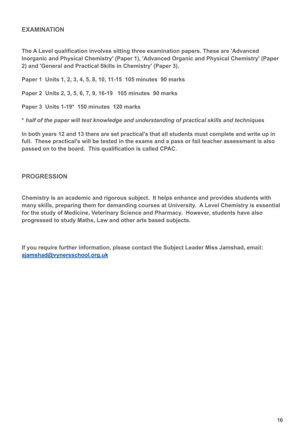### **EXAMINATION**

**The A Level qualification involves sitting three examination papers. These are 'Advanced Inorganic and Physical Chemistry' (Paper 1), 'Advanced Organic and Physical Chemistry' (Paper 2) and 'General and Practical Skills in Chemistry' (Paper 3).**

**Paper 1 Units 1, 2, 3, 4, 5, 8, 10, 11-15 105 minutes 90 marks**

**Paper 2 Units 2, 3, 5, 6, 7, 9, 16-19 105 minutes 90 marks**

**Paper 3 Units 1-19\* 150 minutes 120 marks**

**\*** *half of the paper will test knowledge and understanding of practical skills and techniques*

**In both years 12 and 13 there are set practical's that all students must complete and write up in full. These practical's will be tested in the exams and a pass or fail teacher assessment is also passed on to the board. This qualification is called CPAC.**

#### **PROGRESSION**

**Chemistry is an academic and rigorous subject. It helps enhance and provides students with many skills, preparing them for demanding courses at University. A Level Chemistry is essential for the study of Medicine, Veterinary Science and Pharmacy. However, students have also progressed to study Maths, Law and other arts based subjects.**

**If you require further information, please contact the Subject Leader Miss Jamshad, email: [ajamshad@vynersschool.org.uk](mailto:ajamshad@vynersschool.org.uk)**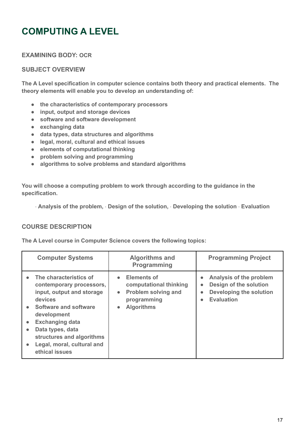# <span id="page-16-0"></span>**COMPUTING A LEVEL**

**EXAMINING BODY: OCR**

# **SUBJECT OVERVIEW**

**The A Level specification in computer science contains both theory and practical elements. The theory elements will enable you to develop an understanding of:**

- **the characteristics of contemporary processors**
- **input, output and storage devices**
- **software and software development**
- **exchanging data**
- **data types, data structures and algorithms**
- **legal, moral, cultural and ethical issues**
- **elements of computational thinking**
- **problem solving and programming**
- **algorithms to solve problems and standard algorithms**

**You will choose a computing problem to work through according to the guidance in the specification.**

**· Analysis of the problem, · Design of the solution, · Developing the solution · Evaluation**

#### **COURSE DESCRIPTION**

**The A Level course in Computer Science covers the following topics:**

| <b>Computer Systems</b>                                                                                                                                                                                                                                                      | <b>Algorithms and</b><br>Programming                                                                                                                  | <b>Programming Project</b>                                                                                                                            |
|------------------------------------------------------------------------------------------------------------------------------------------------------------------------------------------------------------------------------------------------------------------------------|-------------------------------------------------------------------------------------------------------------------------------------------------------|-------------------------------------------------------------------------------------------------------------------------------------------------------|
| The characteristics of<br>$\bullet$<br>contemporary processors,<br>input, output and storage<br>devices<br>• Software and software<br>development<br><b>Exchanging data</b><br>Data types, data<br>structures and algorithms<br>Legal, moral, cultural and<br>ethical issues | <b>Elements of</b><br>$\bullet$<br>computational thinking<br><b>Problem solving and</b><br>$\bullet$<br>programming<br><b>Algorithms</b><br>$\bullet$ | Analysis of the problem<br>$\bullet$<br>Design of the solution<br>$\bullet$<br>Developing the solution<br>$\bullet$<br><b>Evaluation</b><br>$\bullet$ |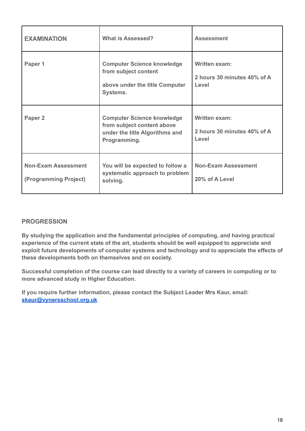| <b>EXAMINATION</b>                                  | <b>What is Assessed?</b>                                                                                          | <b>Assessment</b>                                            |
|-----------------------------------------------------|-------------------------------------------------------------------------------------------------------------------|--------------------------------------------------------------|
| Paper 1                                             | <b>Computer Science knowledge</b><br>from subject content<br>above under the title Computer<br>Systems.           | <b>Written exam:</b><br>2 hours 30 minutes 40% of A<br>Level |
| Paper 2                                             | <b>Computer Science knowledge</b><br>from subject content above<br>under the title Algorithms and<br>Programming. | <b>Written exam:</b><br>2 hours 30 minutes 40% of A<br>Level |
| <b>Non-Exam Assessment</b><br>(Programming Project) | You will be expected to follow a<br>systematic approach to problem<br>solving.                                    | <b>Non-Exam Assessment</b><br>20% of A Level                 |

# **PROGRESSION**

**By studying the application and the fundamental principles of computing, and having practical experience of the current state of the art, students should be well equipped to appreciate and exploit future developments of computer systems and technology and to appreciate the effects of these developments both on themselves and on society.**

**Successful completion of the course can lead directly to a variety of careers in computing or to more advanced study in Higher Education.**

**If you require further information, please contact the Subject Leader Mrs Kaur, email: [skaur@vynersschool.org.uk](mailto:skaur@vynersschool.org.uk)**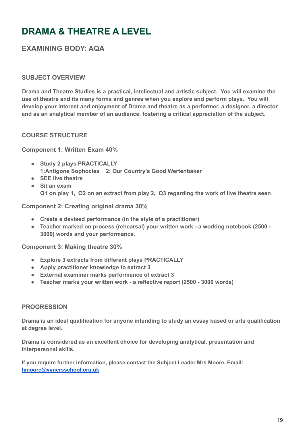# **DRAMA & THEATRE A LEVEL**

# **EXAMINING BODY: AQA**

### **SUBJECT OVERVIEW**

**Drama and Theatre Studies is a practical, intellectual and artistic subject. You will examine the use of theatre and its many forms and genres when you explore and perform plays. You will develop your interest and enjoyment of Drama and theatre as a performer, a designer, a director and as an analytical member of an audience, fostering a critical appreciation of the subject.**

### **COURSE STRUCTURE**

**Component 1: Written Exam 40%**

- **Study 2 plays PRACTICALLY 1:Antigone Sophocles 2: Our Country's Good Wertenbaker**
- **SEE live theatre**
- **Sit an exam Q1 on play 1, Q2 on an extract from play 2, Q3 regarding the work of live theatre seen**

**Component 2: Creating original drama 30%**

- **Create a devised performance (in the style of a practitioner)**
- **Teacher marked on process (rehearsal) your written work a working notebook (2500 - 3000) words and your performance.**

**Component 3: Making theatre 30%**

- **Explore 3 extracts from different plays PRACTICALLY**
- **Apply practitioner knowledge to extract 3**
- **External examiner marks performance of extract 3**
- **Teacher marks your written work a reflective report (2500 3000 words)**

#### **PROGRESSION**

**Drama is an ideal qualification for anyone intending to study an essay based or arts qualification at degree level.**

**Drama is considered as an excellent choice for developing analytical, presentation and interpersonal skills.**

<span id="page-18-0"></span>**If you require further information, please contact the Subject Leader Mrs Moore, Email: [hmoore@vynersschool.org.uk](mailto:hmoore@vynersschool.org.uk)**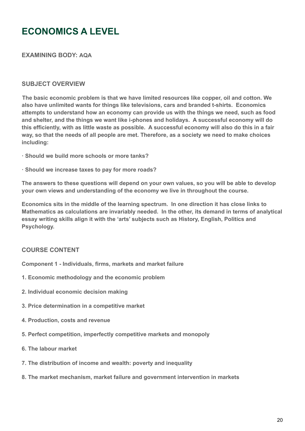# **ECONOMICS A LEVEL**

**EXAMINING BODY: AQA**

#### **SUBJECT OVERVIEW**

**The basic economic problem is that we have limited resources like copper, oil and cotton. We also have unlimited wants for things like televisions, cars and branded t-shirts. Economics attempts to understand how an economy can provide us with the things we need, such as food and shelter, and the things we want like i-phones and holidays. A successful economy will do this efficiently, with as little waste as possible. A successful economy will also do this in a fair way, so that the needs of all people are met. Therefore, as a society we need to make choices including:**

- **· Should we build more schools or more tanks?**
- **· Should we increase taxes to pay for more roads?**

**The answers to these questions will depend on your own values, so you will be able to develop your own views and understanding of the economy we live in throughout the course.**

**Economics sits in the middle of the learning spectrum. In one direction it has close links to Mathematics as calculations are invariably needed. In the other, its demand in terms of analytical essay writing skills align it with the 'arts' subjects such as History, English, Politics and Psychology.**

### **COURSE CONTENT**

**Component 1 - Individuals, firms, markets and market failure**

- **1. Economic methodology and the economic problem**
- **2. Individual economic decision making**
- **3. Price determination in a competitive market**
- **4. Production, costs and revenue**
- **5. Perfect competition, imperfectly competitive markets and monopoly**
- **6. The labour market**
- **7. The distribution of income and wealth: poverty and inequality**
- **8. The market mechanism, market failure and government intervention in markets**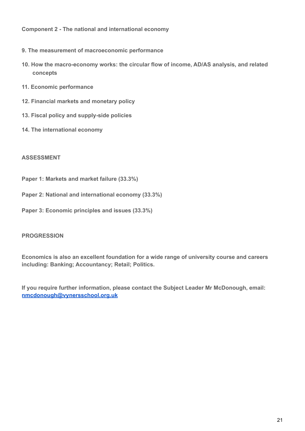**Component 2 - The national and international economy**

- **9. The measurement of macroeconomic performance**
- **10. How the macro-economy works: the circular flow of income, AD/AS analysis, and related concepts**
- **11. Economic performance**
- **12. Financial markets and monetary policy**
- **13. Fiscal policy and supply-side policies**
- **14. The international economy**

#### **ASSESSMENT**

- **Paper 1: Markets and market failure (33.3%)**
- **Paper 2: National and international economy (33.3%)**
- **Paper 3: Economic principles and issues (33.3%)**

#### **PROGRESSION**

**Economics is also an excellent foundation for a wide range of university course and careers including: Banking; Accountancy; Retail; Politics.**

**If you require further information, please contact the Subject Leader Mr McDonough, email: [nmcdonough@vynersschool.org.uk](mailto:nmcdonough@vynersschool.org.uk)**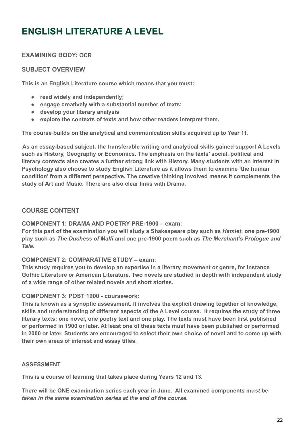# <span id="page-21-0"></span>**ENGLISH LITERATURE A LEVEL**

# **EXAMINING BODY: OCR**

### **SUBJECT OVERVIEW**

**This is an English Literature course which means that you must:**

- **read widely and independently;**
- **engage creatively with a substantial number of texts;**
- **develop your literary analysis**
- **explore the contexts of texts and how other readers interpret them.**

**The course builds on the analytical and communication skills acquired up to Year 11.**

**As an essay-based subject, the transferable writing and analytical skills gained support A Levels such as History, Geography or Economics. The emphasis on the texts' social, political and literary contexts also creates a further strong link with History. Many students with an interest in Psychology also choose to study English Literature as it allows them to examine 'the human condition' from a different perspective. The creative thinking involved means it complements the study of Art and Music. There are also clear links with Drama.**

### **COURSE CONTENT**

#### **COMPONENT 1: DRAMA AND POETRY PRE-1900 – exam:**

**For this part of the examination you will study a Shakespeare play such as** *Hamlet***; one pre-1900 play such as** *The Duchess of Malfi* **and one pre-1900 poem such as** *The Merchant's Prologue and Tale***.**

#### **COMPONENT 2: COMPARATIVE STUDY – exam:**

**This study requires you to develop an expertise in a literary movement or genre, for instance Gothic Literature or American Literature. Two novels are studied in depth with independent study of a wide range of other related novels and short stories.**

#### **COMPONENT 3: POST 1900 - coursework:**

**This is known as a synoptic assessment. It involves the explicit drawing together of knowledge, skills and understanding of different aspects of the A Level course. It requires the study of three literary texts: one novel, one poetry text and one play. The texts must have been first published or performed in 1900 or later. At least one of these texts must have been published or performed in 2000 or later. Students are encouraged to select their own choice of novel and to come up with their own areas of interest and essay titles.**

#### **ASSESSMENT**

**This is a course of learning that takes place during Years 12 and 13.**

**There will be ONE examination series each year in June. All examined components mu***st be taken in the same examination series at the end of the course.*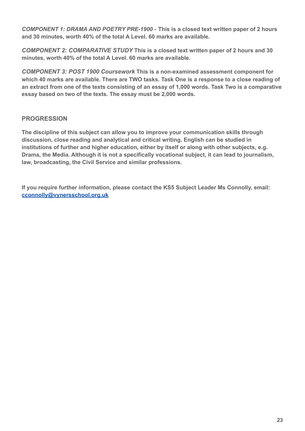*COMPONENT 1: DRAMA AND POETRY PRE-1900 -* **This is a closed text written paper of 2 hours and 30 minutes, worth 40% of the total A Level. 60 marks are available.**

*COMPONENT 2: COMPARATIVE STUDY* **This is a closed text written paper of 2 hours and 30 minutes, worth 40% of the total A Level. 60 marks are available.**

*COMPONENT 3: POST 1900 Coursework* **This is a non-examined assessment component for which 40 marks are available. There are TWO tasks. Task One is a response to a close reading of an extract from one of the texts consisting of an essay of 1,000 words. Task Two is a comparative essay based on two of the texts. The essay must be 2,000 words.**

# **PROGRESSION**

**The discipline of this subject can allow you to improve your communication skills through discussion, close reading and analytical and critical writing. English can be studied in institutions of further and higher education, either by itself or along with other subjects, e.g. Drama, the Media. Although it is not a specifically vocational subject, it can lead to journalism, law, broadcasting, the Civil Service and similar professions.**

**If you require further information, please contact the KS5 Subject Leader Ms Connolly, email: [cconnolly@vynersschool.org.uk](mailto:cconnolly@vynersschool.org.uk)**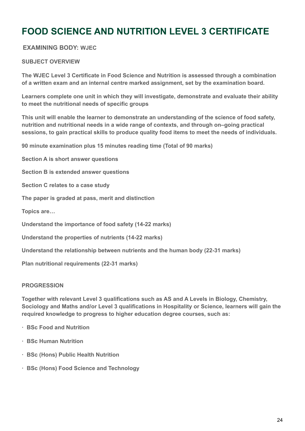# <span id="page-23-0"></span>**FOOD SCIENCE AND NUTRITION LEVEL 3 CERTIFICATE**

### **EXAMINING BODY: WJEC**

#### **SUBJECT OVERVIEW**

**The WJEC Level 3 Certificate in Food Science and Nutrition is assessed through a combination of a written exam and an internal centre marked assignment, set by the examination board.**

**Learners complete one unit in which they will investigate, demonstrate and evaluate their ability to meet the nutritional needs of specific groups**

**This unit will enable the learner to demonstrate an understanding of the science of food safety, nutrition and nutritional needs in a wide range of contexts, and through on–going practical sessions, to gain practical skills to produce quality food items to meet the needs of individuals.**

**90 minute examination plus 15 minutes reading time (Total of 90 marks)**

**Section A is short answer questions**

**Section B is extended answer questions**

**Section C relates to a case study**

**The paper is graded at pass, merit and distinction**

**Topics are…**

**Understand the importance of food safety (14-22 marks)**

**Understand the properties of nutrients (14-22 marks)**

**Understand the relationship between nutrients and the human body (22-31 marks)**

**Plan nutritional requirements (22-31 marks)**

#### **PROGRESSION**

**Together with relevant Level 3 qualifications such as AS and A Levels in Biology, Chemistry, Sociology and Maths and/or Level 3 qualifications in Hospitality or Science, learners will gain the required knowledge to progress to higher education degree courses, such as:**

- **· BSc Food and Nutrition**
- **· BSc Human Nutrition**
- **· BSc (Hons) Public Health Nutrition**
- **· BSc (Hons) Food Science and Technology**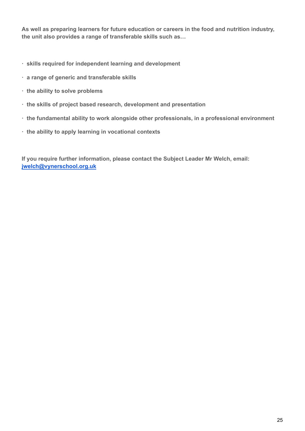**As well as preparing learners for future education or careers in the food and nutrition industry, the unit also provides a range of transferable skills such as…**

- **· skills required for independent learning and development**
- **· a range of generic and transferable skills**
- **· the ability to solve problems**
- **· the skills of project based research, development and presentation**
- **· the fundamental ability to work alongside other professionals, in a professional environment**
- **· the ability to apply learning in vocational contexts**

**If you require further information, please contact the Subject Leader Mr Welch, email: [jwelch@vynerschool.org.uk](mailto:jwelch@vynerschool.org.uk)**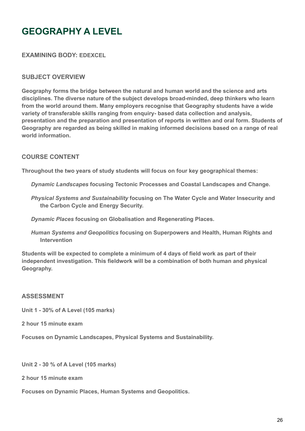# <span id="page-25-0"></span>**GEOGRAPHY A LEVEL**

**EXAMINING BODY: EDEXCEL**

#### **SUBJECT OVERVIEW**

**Geography forms the bridge between the natural and human world and the science and arts disciplines. The diverse nature of the subject develops broad-minded, deep thinkers who learn from the world around them. Many employers recognise that Geography students have a wide variety of transferable skills ranging from enquiry- based data collection and analysis, presentation and the preparation and presentation of reports in written and oral form. Students of Geography are regarded as being skilled in making informed decisions based on a range of real world information.**

#### **COURSE CONTENT**

**Throughout the two years of study students will focus on four key geographical themes:**

*Dynamic Landscapes* **focusing Tectonic Processes and Coastal Landscapes and Change.**

*Physical Systems and Sustainability* **focusing on The Water Cycle and Water Insecurity and the Carbon Cycle and Energy Security.**

*Dynamic Places* **focusing on Globalisation and Regenerating Places.**

*Human Systems and Geopolitics* **focusing on Superpowers and Health, Human Rights and Intervention**

**Students will be expected to complete a minimum of 4 days of field work as part of their independent investigation. This fieldwork will be a combination of both human and physical Geography.**

#### **ASSESSMENT**

**Unit 1 - 30% of A Level (105 marks)**

**2 hour 15 minute exam**

**Focuses on Dynamic Landscapes, Physical Systems and Sustainability.**

**Unit 2 - 30 % of A Level (105 marks)**

**2 hour 15 minute exam**

**Focuses on Dynamic Places, Human Systems and Geopolitics.**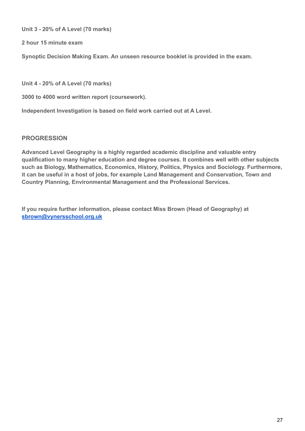**Unit 3 - 20% of A Level (70 marks)**

**2 hour 15 minute exam**

**Synoptic Decision Making Exam. An unseen resource booklet is provided in the exam.**

**Unit 4 - 20% of A Level (70 marks)**

**3000 to 4000 word written report (coursework).**

**Independent Investigation is based on field work carried out at A Level.**

### **PROGRESSION**

**Advanced Level Geography is a highly regarded academic discipline and valuable entry qualification to many higher education and degree courses. It combines well with other subjects such as Biology, Mathematics, Economics, History, Politics, Physics and Sociology. Furthermore, it can be useful in a host of jobs, for example Land Management and Conservation, Town and Country Planning, Environmental Management and the Professional Services.**

**If you require further information, please contact Miss Brown (Head of Geography) at [sbrown@vynersschool.org.uk](mailto:sbrown@vynersschool.org.uk)**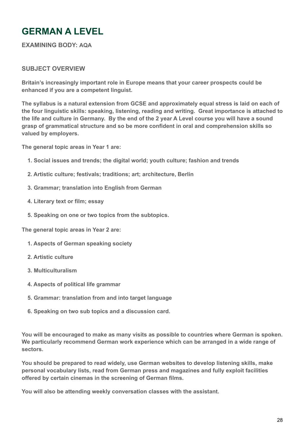# <span id="page-27-0"></span>**GERMAN A LEVEL**

**EXAMINING BODY: AQA**

### **SUBJECT OVERVIEW**

**Britain's increasingly important role in Europe means that your career prospects could be enhanced if you are a competent linguist.**

**The syllabus is a natural extension from GCSE and approximately equal stress is laid on each of the four linguistic skills: speaking, listening, reading and writing. Great importance is attached to the life and culture in Germany. By the end of the 2 year A Level course you will have a sound grasp of grammatical structure and so be more confident in oral and comprehension skills so valued by employers.**

**The general topic areas in Year 1 are:**

- **1. Social issues and trends; the digital world; youth culture; fashion and trends**
- **2. Artistic culture; festivals; traditions; art; architecture, Berlin**
- **3. Grammar; translation into English from German**
- **4. Literary text or film; essay**
- **5. Speaking on one or two topics from the subtopics.**

**The general topic areas in Year 2 are:**

- **1. Aspects of German speaking society**
- **2. Artistic culture**
- **3. Multiculturalism**
- **4. Aspects of political life grammar**
- **5. Grammar: translation from and into target language**
- **6. Speaking on two sub topics and a discussion card.**

**You will be encouraged to make as many visits as possible to countries where German is spoken. We particularly recommend German work experience which can be arranged in a wide range of sectors.**

**You should be prepared to read widely, use German websites to develop listening skills, make personal vocabulary lists, read from German press and magazines and fully exploit facilities offered by certain cinemas in the screening of German films.**

**You will also be attending weekly conversation classes with the assistant.**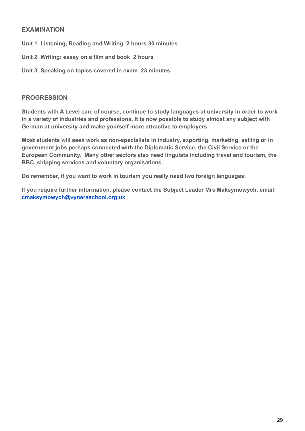### **EXAMINATION**

- **Unit 1 Listening, Reading and Writing 2 hours 30 minutes**
- **Unit 2 Writing: essay on a film and book 2 hours**
- **Unit 3 Speaking on topics covered in exam 23 minutes**

#### **PROGRESSION**

**Students with A Level can, of course, continue to study languages at university in order to work in a variety of industries and professions. It is now possible to study almost any subject with German at university and make yourself more attractive to employers.**

**Most students will seek work as non-specialists in industry, exporting, marketing, selling or in government jobs perhaps connected with the Diplomatic Service, the Civil Service or the European Community. Many other sectors also need linguists including travel and tourism, the BBC, shipping services and voluntary organisations.**

**Do remember, if you want to work in tourism you really need two foreign languages.**

**If you require further information, please contact the Subject Leader Mrs Maksymowych, email: [cmaksymowych@vynersschool.org.uk](mailto:cmaksymowych@vynersschool.org.uk)**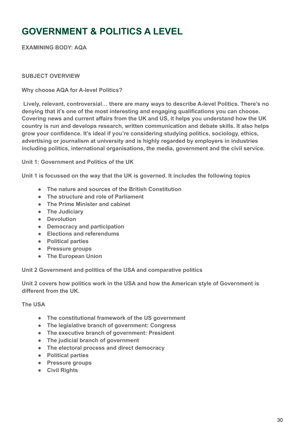# <span id="page-29-0"></span>**GOVERNMENT & POLITICS A LEVEL**

**EXAMINING BODY: AQA**

#### **SUBJECT OVERVIEW**

#### **Why choose AQA for A-level Politics?**

**Lively, relevant, controversial… there are many ways to describe A-level Politics. There's no denying that it's one of the most interesting and engaging qualifications you can choose. Covering news and current affairs from the UK and US, it helps you understand how the UK country is run and develops research, written communication and debate skills. It also helps grow your confidence. It's ideal if you're considering studying politics, sociology, ethics, advertising or journalism at university and is highly regarded by employers in industries including politics, international organisations, the media, government and the civil service.**

**Unit 1: Government and Politics of the UK**

**Unit 1 is focussed on the way that the UK is governed. It includes the following topics**

- **The nature and sources of the British Constitution**
- **The structure and role of Parliament**
- **The Prime Minister and cabinet**
- **The Judiciary**
- **Devolution**
- **Democracy and participation**
- **Elections and referendums**
- **Political parties**
- **Pressure groups**
- **The European Union**

**Unit 2 Government and politics of the USA and comparative politics**

**Unit 2 covers how politics work in the USA and how the American style of Government is different from the UK.**

**The USA**

- **The constitutional framework of the US government**
- **The legislative branch of government: Congress**
- **The executive branch of government: President**
- **The judicial branch of government**
- **The electoral process and direct democracy**
- **Political parties**
- **Pressure groups**
- **Civil Rights**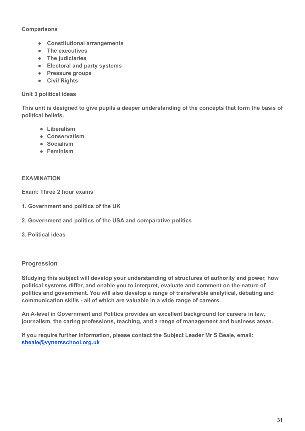#### **Comparisons**

- **Constitutional arrangements**
- **The executives**
- **The judiciaries**
- **Electoral and party systems**
- **Pressure groups**
- **Civil Rights**

#### **Unit 3 political ideas**

**This unit is designed to give pupils a deeper understanding of the concepts that form the basis of political beliefs.**

- **Liberalism**
- **Conservatism**
- **Socialism**
- **Feminism**

#### **EXAMINATION**

**Exam: Three 2 hour exams**

- **1. [Government and politics of the UK](https://www.aqa.org.uk/subjects/government-and-politics/as-and-a-level/politics-7152/subject-content/government-and-politics-of-the-uk)**
- **2. [Government and politics of the USA and comparative politics](https://www.aqa.org.uk/subjects/government-and-politics/as-and-a-level/politics-7152/subject-content/government-and-politics-of-the-usa-and-comparative-politics)**
- **3. [Political ideas](https://www.aqa.org.uk/subjects/government-and-politics/as-and-a-level/politics-7152/subject-content/political-ideas)**

#### **Progression**

**Studying this subject will develop your understanding of structures of authority and power, how political systems differ, and enable you to interpret, evaluate and comment on the nature of politics and government. You will also develop a range of transferable analytical, debating and communication skills - all of which are valuable in a wide range of careers.**

**An A-level in Government and Politics provides an excellent background for careers in law, journalism, the caring professions, teaching, and a range of management and business areas.**

**If you require further information, please contact the Subject Leader Mr S Beale, email: [sbeale@vynersschool.org.uk](mailto:sbeale@vynersschool.org.uk)**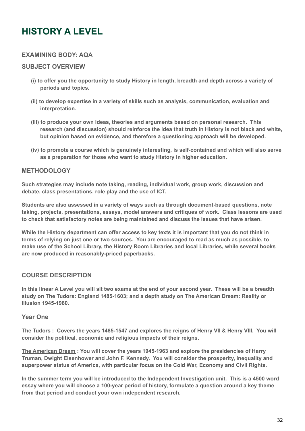# <span id="page-31-0"></span>**HISTORY A LEVEL**

### **EXAMINING BODY: AQA**

#### **SUBJECT OVERVIEW**

- **(i) to offer you the opportunity to study History in length, breadth and depth across a variety of periods and topics.**
- **(ii) to develop expertise in a variety of skills such as analysis, communication, evaluation and interpretation.**
- **(iii) to produce your own ideas, theories and arguments based on personal research. This research (and discussion) should reinforce the idea that truth in History is not black and white, but opinion based on evidence, and therefore a questioning approach will be developed.**
- **(iv) to promote a course which is genuinely interesting, is self-contained and which will also serve as a preparation for those who want to study History in higher education.**

### **METHODOLOGY**

**Such strategies may include note taking, reading, individual work, group work, discussion and debate, class presentations, role play and the use of ICT.**

**Students are also assessed in a variety of ways such as through document-based questions, note taking, projects, presentations, essays, model answers and critiques of work. Class lessons are used to check that satisfactory notes are being maintained and discuss the issues that have arisen.**

**While the History department can offer access to key texts it is important that you do not think in terms of relying on just one or two sources. You are encouraged to read as much as possible, to make use of the School Library, the History Room Libraries and local Libraries, while several books are now produced in reasonably-priced paperbacks.**

### **COURSE DESCRIPTION**

**In this linear A Level you will sit two exams at the end of your second year. These will be a breadth study on The Tudors: England 1485-1603; and a depth study on The American Dream: Reality or Illusion 1945-1980.**

#### **Year One**

**The Tudors : Covers the years 1485-1547 and explores the reigns of Henry VII & Henry VIII. You will consider the political, economic and religious impacts of their reigns.**

**The American Dream : You will cover the years 1945-1963 and explore the presidencies of Harry Truman, Dwight Eisenhower and John F. Kennedy. You will consider the prosperity, inequality and superpower status of America, with particular focus on the Cold War, Economy and Civil Rights.**

**In the summer term you will be introduced to the Independent Investigation unit. This is a 4500 word essay where you will choose a 100-year period of history, formulate a question around a key theme from that period and conduct your own independent research.**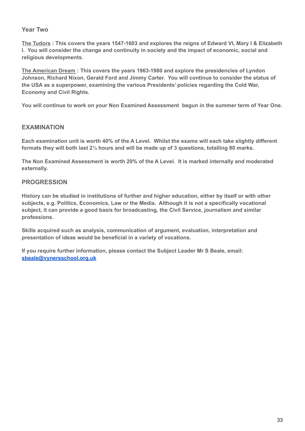#### **Year Two**

**The Tudors : This covers the years 1547-1603 and explores the reigns of Edward VI, Mary I & Elizabeth I. You will consider the change and continuity in society and the impact of economic, social and religious developments.**

**The American Dream : This covers the years 1963-1980 and explore the presidencies of Lyndon Johnson, Richard Nixon, Gerald Ford and Jimmy Carter. You will continue to consider the status of the USA as a superpower, examining the various Presidents' policies regarding the Cold War, Economy and Civil Rights.**

**You will continue to work on your Non Examined Assessment begun in the summer term of Year One.**

#### **EXAMINATION**

**Each examination unit is worth 40% of the A Level. Whilst the exams will each take slightly different formats they will both last 2½ hours and will be made up of 3 questions, totalling 80 marks.**

**The Non Examined Assessment is worth 20% of the A Level. It is marked internally and moderated externally.**

#### **PROGRESSION**

**History can be studied in institutions of further and higher education, either by itself or with other subjects, e.g. Politics, Economics, Law or the Media. Although it is not a specifically vocational subject, it can provide a good basis for broadcasting, the Civil Service, journalism and similar professions.**

**Skills acquired such as analysis, communication of argument, evaluation, interpretation and presentation of ideas would be beneficial in a variety of vocations.**

**If you require further information, please contact the Subject Leader Mr S Beale, email: [sbeale@vynersschool.org.uk](mailto:sbeale@vynersschool.org.uk)**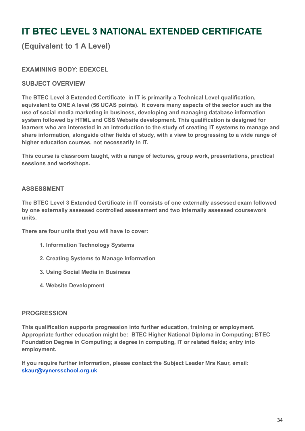# <span id="page-33-0"></span>**IT BTEC LEVEL 3 NATIONAL EXTENDED CERTIFICATE**

# **(Equivalent to 1 A Level)**

### **EXAMINING BODY: EDEXCEL**

#### **SUBJECT OVERVIEW**

**The BTEC Level 3 Extended Certificate in IT is primarily a Technical Level qualification, equivalent to ONE A level (56 UCAS points). It covers many aspects of the sector such as the use of social media marketing in business, developing and managing database information system followed by HTML and CSS Website development. This qualification is designed for learners who are interested in an introduction to the study of creating IT systems to manage and share information, alongside other fields of study, with a view to progressing to a wide range of higher education courses, not necessarily in IT.**

**This course is classroom taught, with a range of lectures, group work, presentations, practical sessions and workshops.**

#### **ASSESSMENT**

**The BTEC Level 3 Extended Certificate in IT consists of one externally assessed exam followed by one externally assessed controlled assessment and two internally assessed coursework units.**

**There are four units that you will have to cover:**

- **1. Information Technology Systems**
- **2. Creating Systems to Manage Information**
- **3. Using Social Media in Business**
- **4. Website Development**

#### **PROGRESSION**

**This qualification supports progression into further education, training or employment. Appropriate further education might be: BTEC Higher National Diploma in Computing; BTEC Foundation Degree in Computing; a degree in computing, IT or related fields; entry into employment.**

**If you require further information, please contact the Subject Leader Mrs Kaur, email: [skaur@vynersschool.org.uk](mailto:skaur@vynersschool.org.uk)**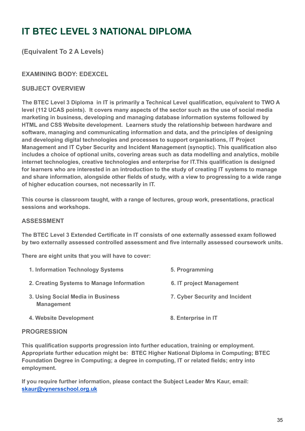# **IT BTEC LEVEL 3 NATIONAL DIPLOMA**

# **(Equivalent To 2 A Levels)**

# **EXAMINING BODY: EDEXCEL**

### **SUBJECT OVERVIEW**

**The BTEC Level 3 Diploma in IT is primarily a Technical Level qualification, equivalent to TWO A level (112 UCAS points). It covers many aspects of the sector such as the use of social media marketing in business, developing and managing database information systems followed by HTML and CSS Website development. Learners study the relationship between hardware and software, managing and communicating information and data, and the principles of designing and developing digital technologies and processes to support organisations, IT Project Management and IT Cyber Security and Incident Management (synoptic). This qualification also includes a choice of optional units, covering areas such as data modelling and analytics, mobile internet technologies, creative technologies and enterprise for IT.This qualification is designed for learners who are interested in an introduction to the study of creating IT systems to manage and share information, alongside other fields of study, with a view to progressing to a wide range of higher education courses, not necessarily in IT.**

**This course is classroom taught, with a range of lectures, group work, presentations, practical sessions and workshops.**

#### **ASSESSMENT**

**The BTEC Level 3 Extended Certificate in IT consists of one externally assessed exam followed by two externally assessed controlled assessment and five internally assessed coursework units.**

**There are eight units that you will have to cover:**

| 1. Information Technology Systems                      | 5. Programming                 |
|--------------------------------------------------------|--------------------------------|
| 2. Creating Systems to Manage Information              | 6. IT project Management       |
| 3. Using Social Media in Business<br><b>Management</b> | 7. Cyber Security and Incident |
| 4. Website Development                                 | 8. Enterprise in IT            |

#### **PROGRESSION**

**This qualification supports progression into further education, training or employment. Appropriate further education might be: BTEC Higher National Diploma in Computing; BTEC Foundation Degree in Computing; a degree in computing, IT or related fields; entry into employment.**

**If you require further information, please contact the Subject Leader Mrs Kaur, email: [skaur@vynersschool.org.uk](mailto:skaur@vynersschool.org.uk)**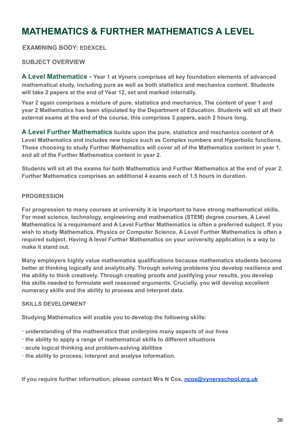# <span id="page-35-0"></span>**MATHEMATICS & FURTHER MATHEMATICS A LEVEL**

**EXAMINING BODY: EDEXCEL**

### **SUBJECT OVERVIEW**

**A Level Mathematics - Year 1 at Vyners comprises all key foundation elements of advanced mathematical study, including pure as well as both statistics and mechanics content. Students will take 2 papers at the end of Year 12, set and marked internally.**

**Year 2 again comprises a mixture of pure, statistics and mechanics. The content of year 1 and year 2 Mathematics has been stipulated by the Department of Education. Students will sit all their external exams at the end of the course, this comprises 3 papers, each 2 hours long.**

**A Level Further Mathematics builds upon the pure, statistics and mechanics content of A Level Mathematics and includes new topics such as Complex numbers and Hyperbolic functions. Those choosing to study Further Mathematics will cover all of the Mathematics content in year 1, and all of the Further Mathematics content in year 2.**

**Students will sit all the exams for both Mathematics and Further Mathematics at the end of year 2. Further Mathematics comprises an additional 4 exams each of 1.5 hours in duration.**

#### **PROGRESSION**

**For progression to many courses at university it is important to have strong mathematical skills. For most science, technology, engineering and mathematics (STEM) degree courses, A Level Mathematics is a requirement and A Level Further Mathematics is often a preferred subject. If you wish to study Mathematics, Physics or Computer Science, A Level Further Mathematics is often a required subject. Having A level Further Mathematics on your university application is a way to make it stand out.**

**Many employers highly value mathematics qualifications because mathematics students become better at thinking logically and analytically. Through solving problems you develop resilience and the ability to think creatively. Through creating proofs and justifying your results, you develop the skills needed to formulate well reasoned arguments. Crucially, you will develop excellent numeracy skills and the ability to process and interpret data.**

#### **SKILLS DEVELOPMENT**

**Studying Mathematics will enable you to develop the following skills:**

- **· understanding of the mathematics that underpins many aspects of our lives**
- **· the ability to apply a range of mathematical skills to different situations**
- **· acute logical thinking and problem-solving abilities**
- **· the ability to process, interpret and analyse information.**

**If you require further information, please contact Mrs N Cox, [ncox@vynersschool.org.uk](mailto:ncox@vynersschool.org.uk)**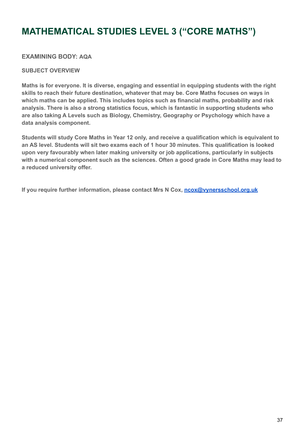# **MATHEMATICAL STUDIES LEVEL 3 ("CORE MATHS")**

### **EXAMINING BODY: AQA**

#### **SUBJECT OVERVIEW**

**Maths is for everyone. It is diverse, engaging and essential in equipping students with the right skills to reach their future destination, whatever that may be. Core Maths focuses on ways in which maths can be applied. This includes topics such as financial maths, probability and risk analysis. There is also a strong statistics focus, which is fantastic in supporting students who are also taking A Levels such as Biology, Chemistry, Geography or Psychology which have a data analysis component.**

**Students will study Core Maths in Year 12 only, and receive a qualification which is equivalent to an AS level. Students will sit two exams each of 1 hour 30 minutes. This qualification is looked upon very favourably when later making university or job applications, particularly in subjects with a numerical component such as the sciences. Often a good grade in Core Maths may lead to a reduced university offer.**

**If you require further information, please contact Mrs N Cox, [ncox@vynersschool.org.uk](mailto:ncox@vynersschool.org.uk)**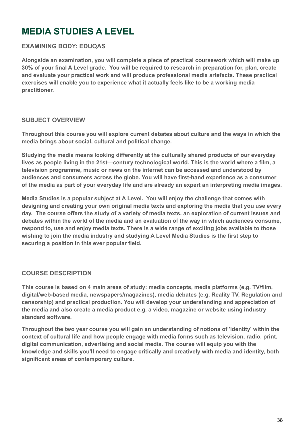# <span id="page-37-0"></span>**MEDIA STUDIES A LEVEL**

# **EXAMINING BODY: EDUQAS**

**Alongside an examination, you will complete a piece of practical coursework which will make up 30% of your final A Level grade. You will be required to research in preparation for, plan, create and evaluate your practical work and will produce professional media artefacts. These practical exercises will enable you to experience what it actually feels like to be a working media practitioner.**

### **SUBJECT OVERVIEW**

**Throughout this course you will explore current debates about culture and the ways in which the media brings about social, cultural and political change.**

**Studying the media means looking differently at the culturally shared products of our everyday lives as people living in the 21st—century technological world. This is the world where a film, a television programme, music or news on the internet can be accessed and understood by audiences and consumers across the globe. You will have first-hand experience as a consumer of the media as part of your everyday life and are already an expert an interpreting media images.**

**Media Studies is a popular subject at A Level. You will enjoy the challenge that comes with designing and creating your own original media texts and exploring the media that you use every day. The course offers the study of a variety of media texts, an exploration of current issues and debates within the world of the media and an evaluation of the way in which audiences consume, respond to, use and enjoy media texts. There is a wide range of exciting jobs available to those wishing to join the media industry and studying A Level Media Studies is the first step to securing a position in this ever popular field.**

### **COURSE DESCRIPTION**

**This course is based on 4 main areas of study: media concepts, media platforms (e.g. TV/film, digital/web-based media, newspapers/magazines), media debates (e.g. Reality TV, Regulation and censorship) and practical production. You will develop your understanding and appreciation of the media and also create a media product e.g. a video, magazine or website using industry standard software.**

**Throughout the two year course you will gain an understanding of notions of 'identity' within the context of cultural life and how people engage with media forms such as television, radio, print, digital communication, advertising and social media. The course will equip you with the knowledge and skills you'll need to engage critically and creatively with media and identity, both significant areas of contemporary culture.**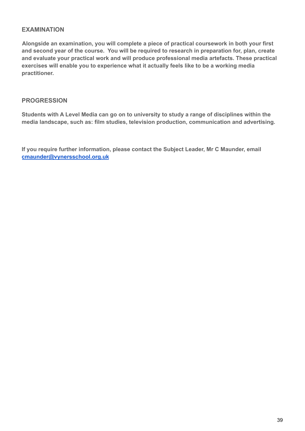### **EXAMINATION**

**Alongside an examination, you will complete a piece of practical coursework in both your first and second year of the course. You will be required to research in preparation for, plan, create and evaluate your practical work and will produce professional media artefacts. These practical exercises will enable you to experience what it actually feels like to be a working media practitioner.**

#### **PROGRESSION**

**Students with A Level Media can go on to university to study a range of disciplines within the media landscape, such as: film studies, television production, communication and advertising.**

**If you require further information, please contact the Subject Leader, Mr C Maunder, email [cmaunder@vynersschool.org.uk](mailto:cmaunder@vynersschool.org.uk)**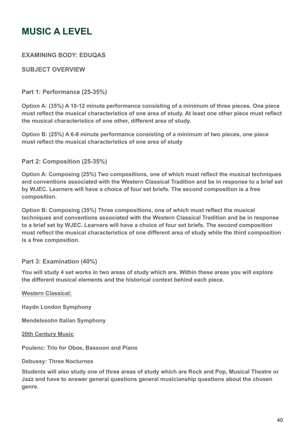# <span id="page-39-0"></span>**MUSIC A LEVEL**

### **EXAMINING BODY: EDUQAS**

### **SUBJECT OVERVIEW**

### **Part 1: Performance (25-35%)**

**Option A: (35%) A 10-12 minute performance consisting of a minimum of three pieces. One piece must reflect the musical characteristics of one area of study. At least one other piece must reflect the musical characteristics of one other, different area of study.**

**Option B: (25%) A 6-8 minute performance consisting of a minimum of two pieces, one piece must reflect the musical characteristics of one area of study**

### **Part 2: Composition (25-35%)**

**Option A: Composing (25%) Two compositions, one of which must reflect the musical techniques and conventions associated with the Western Classical Tradition and be in response to a brief set by WJEC. Learners will have a choice of four set briefs. The second composition is a free composition.**

**Option B: Composing (35%) Three compositions, one of which must reflect the musical techniques and conventions associated with the Western Classical Tradition and be in response to a brief set by WJEC. Learners will have a choice of four set briefs. The second composition must reflect the musical characteristics of one different area of study while the third composition is a free composition.**

#### **Part 3: Examination (40%)**

**You will study 4 set works in two areas of study which are. Within these areas you will explore the different musical elements and the historical context behind each piece.**

#### **Western Classical:**

**Haydn London Symphony**

**Mendelssohn Italian Symphony**

**20th Century Music**

**Poulenc: Trio for Oboe, Bassoon and Piano**

#### **Debussy: Three Nocturnes**

**Students will also study one of three areas of study which are Rock and Pop, Musical Theatre or Jazz and have to answer general questions general musicianship questions about the chosen genre.**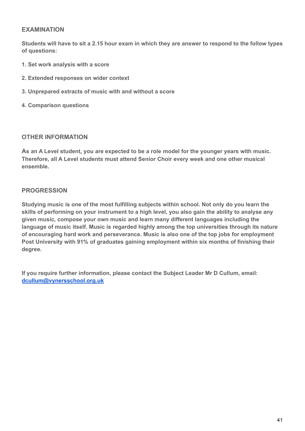### **EXAMINATION**

**Students will have to sit a 2.15 hour exam in which they are answer to respond to the follow types of questions:**

- **1. Set work analysis with a score**
- **2. Extended responses on wider context**
- **3. Unprepared extracts of music with and without a score**
- **4. Comparison questions**

#### **OTHER INFORMATION**

**As an A Level student, you are expected to be a role model for the younger years with music. Therefore, all A Level students must attend Senior Choir every week and one other musical ensemble.**

#### **PROGRESSION**

**Studying music is one of the most fulfilling subjects within school. Not only do you learn the skills of performing on your instrument to a high level, you also gain the ability to analyse any given music, compose your own music and learn many different languages including the language of music itself. Music is regarded highly among the top universities through its nature of encouraging hard work and perseverance. Music is also one of the top jobs for employment Post University with 91% of graduates gaining employment within six months of finishing their degree.**

**If you require further information, please contact the Subject Leader Mr D Cullum, email: [dcullum@vynersschool.org.uk](mailto:dcullum@vynersschool.org.uk)**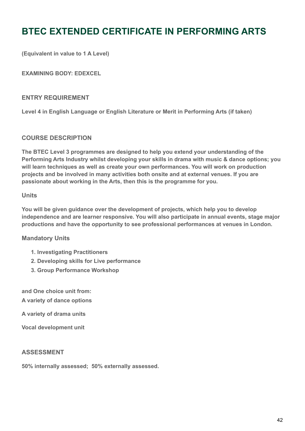# <span id="page-41-0"></span>**BTEC EXTENDED CERTIFICATE IN PERFORMING ARTS**

**(Equivalent in value to 1 A Level)**

**EXAMINING BODY: EDEXCEL**

#### **ENTRY REQUIREMENT**

**Level 4 in English Language or English Literature or Merit in Performing Arts (if taken)**

#### **COURSE DESCRIPTION**

**The BTEC Level 3 programmes are designed to help you extend your understanding of the Performing Arts Industry whilst developing your skills in drama with music & dance options; you will learn techniques as well as create your own performances. You will work on production projects and be involved in many activities both onsite and at external venues. If you are passionate about working in the Arts, then this is the programme for you.**

#### **Units**

**You will be given guidance over the development of projects, which help you to develop independence and are learner responsive. You will also participate in annual events, stage major productions and have the opportunity to see professional performances at venues in London.**

#### **Mandatory Units**

- **1. Investigating Practitioners**
- **2. Developing skills for Live performance**
- **3. Group Performance Workshop**

**and One choice unit from: A variety of dance options**

**A variety of drama units**

**Vocal development unit**

#### **ASSESSMENT**

**50% internally assessed; 50% externally assessed.**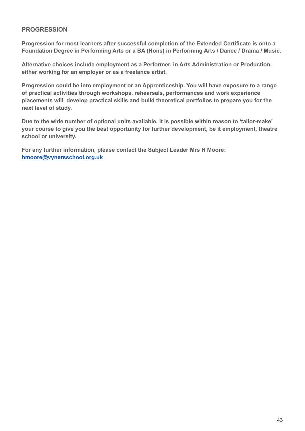#### **PROGRESSION**

**Progression for most learners after successful completion of the Extended Certificate is onto a Foundation Degree in Performing Arts or a BA (Hons) in Performing Arts / Dance / Drama / Music.**

**Alternative choices include employment as a Performer, in Arts Administration or Production, either working for an employer or as a freelance artist.**

**Progression could be into employment or an Apprenticeship. You will have exposure to a range of practical activities through workshops, rehearsals, performances and work experience placements will develop practical skills and build theoretical portfolios to prepare you for the next level of study.**

**Due to the wide number of optional units available, it is possible within reason to 'tailor-make' your course to give you the best opportunity for further development, be it employment, theatre school or university.**

**For any further information, please contact the Subject Leader Mrs H Moore: [hmoore@vynersschool.org.uk](mailto:hmoore@vynersschool.org.uk)**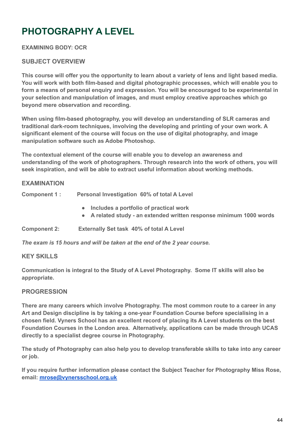# <span id="page-43-0"></span>**PHOTOGRAPHY A LEVEL**

### **EXAMINING BODY: OCR**

### **SUBJECT OVERVIEW**

**This course will offer you the opportunity to learn about a variety of lens and light based media. You will work with both film-based and digital photographic processes, which will enable you to form a means of personal enquiry and expression. You will be encouraged to be experimental in your selection and manipulation of images, and must employ creative approaches which go beyond mere observation and recording.**

**When using film-based photography, you will develop an understanding of SLR cameras and traditional dark-room techniques, involving the developing and printing of your own work. A significant element of the course will focus on the use of digital photography, and image manipulation software such as Adobe Photoshop.**

**The contextual element of the course will enable you to develop an awareness and understanding of the work of photographers. Through research into the work of others, you will seek inspiration, and will be able to extract useful information about working methods.**

#### **EXAMINATION**

| Component 1 : | Personal Investigation 60% of total A Level                                                                     |
|---------------|-----------------------------------------------------------------------------------------------------------------|
|               | • Includes a portfolio of practical work<br>• A related study - an extended written response minimum 1000 words |

**Component 2: Externally Set task 40% of total A Level**

*The exam is 15 hours and will be taken at the end of the 2 year course.*

#### **KEY SKILLS**

**Communication is integral to the Study of A Level Photography. Some IT skills will also be appropriate.**

#### **PROGRESSION**

**There are many careers which involve Photography. The most common route to a career in any Art and Design discipline is by taking a one-year Foundation Course before specialising in a chosen field. Vyners School has an excellent record of placing its A Level students on the best Foundation Courses in the London area. Alternatively, applications can be made through UCAS directly to a specialist degree course in Photography.**

**The study of Photography can also help you to develop transferable skills to take into any career or job.**

**If you require further information please contact the Subject Teacher for Photography Miss Rose, email: [mrose@vynersschool.org.uk](mailto:mrose@vynersschool.org.uk)**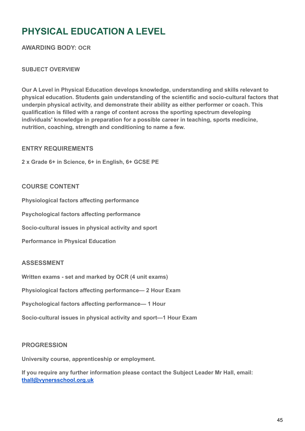# **PHYSICAL EDUCATION A LEVEL**

**AWARDING BODY: OCR**

### **SUBJECT OVERVIEW**

**Our A Level in Physical Education develops knowledge, understanding and skills relevant to physical education. Students gain understanding of the scientific and socio-cultural factors that underpin physical activity, and demonstrate their ability as either performer or coach. This qualification is filled with a range of content across the sporting spectrum developing individuals' knowledge in preparation for a possible career in teaching, sports medicine, nutrition, coaching, strength and conditioning to name a few.**

### **ENTRY REQUIREMENTS**

**2 x Grade 6+ in Science, 6+ in English, 6+ GCSE PE**

### **COURSE CONTENT**

**Physiological factors affecting performance**

**Psychological factors affecting performance**

**Socio-cultural issues in physical activity and sport**

**Performance in Physical Education**

#### **ASSESSMENT**

**Written exams - set and marked by OCR (4 unit exams)**

**Physiological factors affecting performance— 2 Hour Exam**

**Psychological factors affecting performance— 1 Hour**

**Socio-cultural issues in physical activity and sport—1 Hour Exam**

#### **PROGRESSION**

**University course, apprenticeship or employment.**

**If you require any further information please contact the Subject Leader Mr Hall, email: [thall@vynersschool.org.uk](mailto:thall@vynersschool.org.uk)**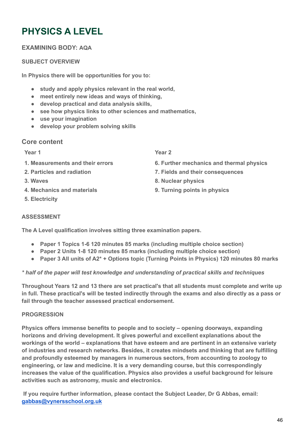# <span id="page-45-0"></span>**PHYSICS A LEVEL**

# **EXAMINING BODY: AQA**

#### **SUBJECT OVERVIEW**

**In Physics there will be opportunities for you to:**

- **study and apply physics relevant in the real world,**
- **meet entirely new ideas and ways of thinking,**
- **develop practical and data analysis skills,**
- **see how physics links to other sciences and mathematics,**
- **use your imagination**
- **develop your problem solving skills**

### **Core content**

#### **Year 1**

- **1. Measurements and their errors**
- **2. Particles and radiation**
- **3. Waves**
- **4. Mechanics and materials**
- **5. Electricity**

**Year 2**

- **6. Further mechanics and thermal physics**
- **7. Fields and their consequences**
- **8. Nuclear physics**
- **9. Turning points in physics**

#### **ASSESSMENT**

**The A Level qualification involves sitting three examination papers.**

- **Paper 1 Topics 1-6 120 minutes 85 marks (including multiple choice section)**
- **Paper 2 Units 1-8 120 minutes 85 marks (including multiple choice section)**
- **Paper 3 All units of A2\* + Options topic (Turning Points in Physics) 120 minutes 80 marks**

#### *\* half of the paper will test knowledge and understanding of practical skills and techniques*

**Throughout Years 12 and 13 there are set practical's that all students must complete and write up in full. These practical's will be tested indirectly through the exams and also directly as a pass or fail through the teacher assessed practical endorsement.**

#### **PROGRESSION**

**Physics offers immense benefits to people and to society – opening doorways, expanding horizons and driving development. It gives powerful and excellent explanations about the workings of the world – explanations that have esteem and are pertinent in an extensive variety of industries and research networks. Besides, it creates mindsets and thinking that are fulfilling and profoundly esteemed by managers in numerous sectors, from accounting to zoology to engineering, or law and medicine. It is a very demanding course, but this correspondingly increases the value of the qualification. Physics also provides a useful background for leisure activities such as astronomy, music and electronics.**

**If you require further information, please contact the Subject Leader, Dr G Abbas, email: [gabbas@vynersschool.org.uk](mailto:gabbas@vynersschool.org.uk)**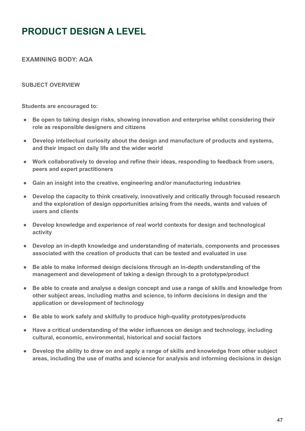# <span id="page-46-0"></span>**PRODUCT DESIGN A LEVEL**

**EXAMINING BODY: AQA**

#### **SUBJECT OVERVIEW**

**Students are encouraged to:**

- **Be open to taking design risks, showing innovation and enterprise whilst considering their role as responsible designers and citizens**
- **Develop intellectual curiosity about the design and manufacture of products and systems, and their impact on daily life and the wider world**
- **Work collaboratively to develop and refine their ideas, responding to feedback from users, peers and expert practitioners**
- **Gain an insight into the creative, engineering and/or manufacturing industries**
- **Develop the capacity to think creatively, innovatively and critically through focused research and the exploration of design opportunities arising from the needs, wants and values of users and clients**
- **Develop knowledge and experience of real world contexts for design and technological activity**
- **Develop an in-depth knowledge and understanding of materials, components and processes associated with the creation of products that can be tested and evaluated in use**
- **Be able to make informed design decisions through an in-depth understanding of the management and development of taking a design through to a prototype/product**
- **Be able to create and analyse a design concept and use a range of skills and knowledge from other subject areas, including maths and science, to inform decisions in design and the application or development of technology**
- **Be able to work safely and skilfully to produce high-quality prototypes/products**
- **Have a critical understanding of the wider influences on design and technology, including cultural, economic, environmental, historical and social factors**
- **Develop the ability to draw on and apply a range of skills and knowledge from other subject areas, including the use of maths and science for analysis and informing decisions in design**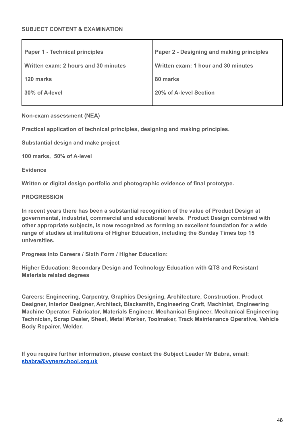| <b>Paper 1 - Technical principles</b> | Paper 2 - Designing and making principles |
|---------------------------------------|-------------------------------------------|
| Written exam: 2 hours and 30 minutes  | Written exam: 1 hour and 30 minutes       |
| 120 marks                             | 80 marks                                  |
| 30% of A-level                        | 20% of A-level Section                    |
|                                       |                                           |

**Non-exam assessment (NEA)**

**Practical application of technical principles, designing and making principles.**

**Substantial design and make project**

**100 marks, 50% of A-level**

**Evidence**

**Written or digital design portfolio and photographic evidence of final prototype.**

**PROGRESSION**

**In recent years there has been a substantial recognition of the value of Product Design at governmental, industrial, commercial and educational levels. Product Design combined with other appropriate subjects, is now recognized as forming an excellent foundation for a wide range of studies at institutions of Higher Education, including the Sunday Times top 15 universities.**

**Progress into Careers / Sixth Form / Higher Education:**

**Higher Education: Secondary Design and Technology Education with QTS and Resistant Materials related degrees**

**Careers: Engineering, Carpentry, Graphics Designing, Architecture, Construction, Product Designer, Interior Designer, Architect, Blacksmith, Engineering Craft, Machinist, Engineering Machine Operator, Fabricator, Materials Engineer, Mechanical Engineer, Mechanical Engineering Technician, Scrap Dealer, Sheet, Metal Worker, Toolmaker, Track Maintenance Operative, Vehicle Body Repairer, Welder.**

**If you require further information, please contact the Subject Leader Mr Babra, email: [sbabra@vynerschool.org.uk](mailto:sbabra@vynerschool.org.uk)**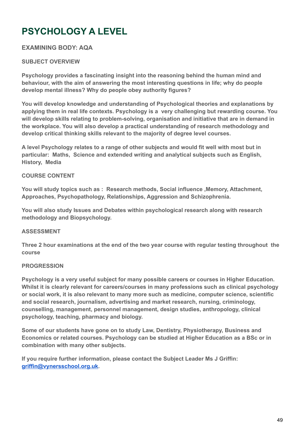# <span id="page-48-0"></span>**PSYCHOLOGY A LEVEL**

### **EXAMINING BODY: AQA**

### **SUBJECT OVERVIEW**

**Psychology provides a fascinating insight into the reasoning behind the human mind and behaviour, with the aim of answering the most interesting questions in life; why do people develop mental illness? Why do people obey authority figures?**

**You will develop knowledge and understanding of Psychological theories and explanations by applying them in real life contexts. Psychology is a very challenging but rewarding course. You will develop skills relating to problem-solving, organisation and initiative that are in demand in the workplace. You will also develop a practical understanding of research methodology and develop critical thinking skills relevant to the majority of degree level courses.**

**A level Psychology relates to a range of other subjects and would fit well with most but in particular: Maths, Science and extended writing and analytical subjects such as English, History, Media**

#### **COURSE CONTENT**

**You will study topics such as : Research methods, Social influence ,Memory, Attachment, Approaches, Psychopathology, Relationships, Aggression and Schizophrenia.**

**You will also study Issues and Debates within psychological research along with research methodology and Biopsychology.**

#### **ASSESSMENT**

**Three 2 hour examinations at the end of the two year course with regular testing throughout the course**

#### **PROGRESSION**

**Psychology is a very useful subject for many possible careers or courses in Higher Education. Whilst it is clearly relevant for careers/courses in many professions such as clinical psychology or social work, it is also relevant to many more such as medicine, computer science, scientific and social research, journalism, advertising and market research, nursing, criminology, counselling, management, personnel management, design studies, anthropology, clinical psychology, teaching, pharmacy and biology.**

**Some of our students have gone on to study Law, Dentistry, Physiotherapy, Business and Economics or related courses. Psychology can be studied at Higher Education as a BSc or in combination with many other subjects.**

**If you require further information, please contact the Subject Leader Ms J Griffin: [griffin@vynersschool.org.uk.](mailto:griffin@vynersschool.org.uk)**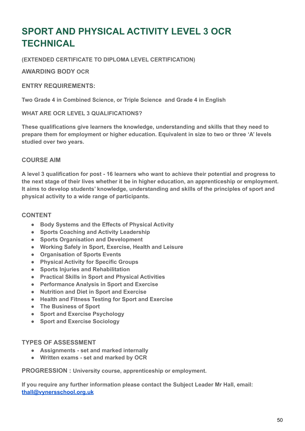# <span id="page-49-0"></span>**SPORT AND PHYSICAL ACTIVITY LEVEL 3 OCR TECHNICAL**

**(EXTENDED CERTIFICATE TO DIPLOMA LEVEL CERTIFICATION)**

**AWARDING BODY OCR**

#### **ENTRY REQUIREMENTS:**

**Two Grade 4 in Combined Science, or Triple Science and Grade 4 in English**

#### **WHAT ARE OCR LEVEL 3 QUALIFICATIONS?**

**These qualifications give learners the knowledge, understanding and skills that they need to prepare them for employment or higher education. Equivalent in size to two or three 'A' levels studied over two years.**

#### **COURSE AIM**

**A level 3 qualification for post - 16 learners who want to achieve their potential and progress to the next stage of their lives whether it be in higher education, an apprenticeship or employment. It aims to develop students' knowledge, understanding and skills of the principles of sport and physical activity to a wide range of participants.**

#### **CONTENT**

- **Body Systems and the Effects of Physical Activity**
- **Sports Coaching and Activity Leadership**
- **Sports Organisation and Development**
- **Working Safely in Sport, Exercise, Health and Leisure**
- **Organisation of Sports Events**
- **Physical Activity for Specific Groups**
- **Sports Injuries and Rehabilitation**
- **Practical Skills in Sport and Physical Activities**
- **Performance Analysis in Sport and Exercise**
- **Nutrition and Diet in Sport and Exercise**
- **Health and Fitness Testing for Sport and Exercise**
- **The Business of Sport**
- **Sport and Exercise Psychology**
- **Sport and Exercise Sociology**

#### **TYPES OF ASSESSMENT**

- **Assignments set and marked internally**
- **Written exams set and marked by OCR**

**PROGRESSION : University course, apprenticeship or employment.**

**If you require any further information please contact the Subject Leader Mr Hall, email: [thall@vynersschool.org.uk](mailto:thall@vynersschool.org.uk)**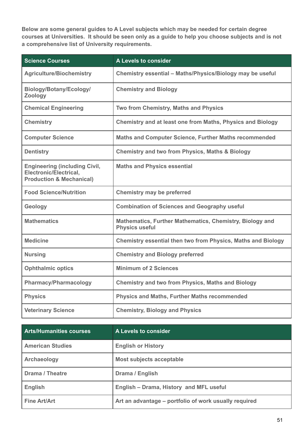**Below are some general guides to A Level subjects which may be needed for certain degree courses at Universities. It should be seen only as a guide to help you choose subjects and is not a comprehensive list of University requirements.**

| <b>Science Courses</b>                                                                                       | A Levels to consider                                                              |
|--------------------------------------------------------------------------------------------------------------|-----------------------------------------------------------------------------------|
| <b>Agriculture/Biochemistry</b>                                                                              | Chemistry essential - Maths/Physics/Biology may be useful                         |
| Biology/Botany/Ecology/<br>Zoology                                                                           | <b>Chemistry and Biology</b>                                                      |
| <b>Chemical Engineering</b>                                                                                  | Two from Chemistry, Maths and Physics                                             |
| <b>Chemistry</b>                                                                                             | <b>Chemistry and at least one from Maths, Physics and Biology</b>                 |
| <b>Computer Science</b>                                                                                      | Maths and Computer Science, Further Maths recommended                             |
| <b>Dentistry</b>                                                                                             | <b>Chemistry and two from Physics, Maths &amp; Biology</b>                        |
| <b>Engineering (including Civil,</b><br><b>Electronic/Electrical,</b><br><b>Production &amp; Mechanical)</b> | <b>Maths and Physics essential</b>                                                |
| <b>Food Science/Nutrition</b>                                                                                | <b>Chemistry may be preferred</b>                                                 |
| Geology                                                                                                      | <b>Combination of Sciences and Geography useful</b>                               |
| <b>Mathematics</b>                                                                                           | Mathematics, Further Mathematics, Chemistry, Biology and<br><b>Physics useful</b> |
| <b>Medicine</b>                                                                                              | Chemistry essential then two from Physics, Maths and Biology                      |
| <b>Nursing</b>                                                                                               | <b>Chemistry and Biology preferred</b>                                            |
| <b>Ophthalmic optics</b>                                                                                     | <b>Minimum of 2 Sciences</b>                                                      |
| <b>Pharmacy/Pharmacology</b>                                                                                 | <b>Chemistry and two from Physics, Maths and Biology</b>                          |
| <b>Physics</b>                                                                                               | <b>Physics and Maths, Further Maths recommended</b>                               |
| <b>Veterinary Science</b>                                                                                    | <b>Chemistry, Biology and Physics</b>                                             |

| <b>Arts/Humanities courses</b> | A Levels to consider                                  |
|--------------------------------|-------------------------------------------------------|
| <b>American Studies</b>        | <b>English or History</b>                             |
| Archaeology                    | Most subjects acceptable                              |
| <b>Drama / Theatre</b>         | Drama / English                                       |
| <b>English</b>                 | English - Drama, History and MFL useful               |
| <b>Fine Art/Art</b>            | Art an advantage – portfolio of work usually required |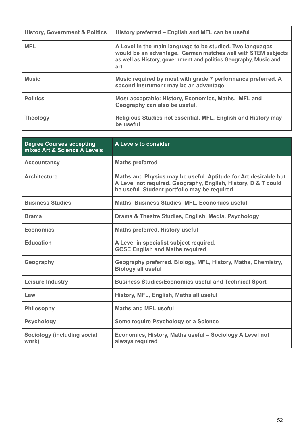| <b>History, Government &amp; Politics</b> | History preferred – English and MFL can be useful                                                                                                                                                     |
|-------------------------------------------|-------------------------------------------------------------------------------------------------------------------------------------------------------------------------------------------------------|
| <b>MFL</b>                                | A Level in the main language to be studied. Two languages<br>would be an advantage. German matches well with STEM subjects<br>as well as History, government and politics Geography, Music and<br>art |
| <b>Music</b>                              | Music required by most with grade 7 performance preferred. A<br>second instrument may be an advantage                                                                                                 |
| <b>Politics</b>                           | Most acceptable: History, Economics, Maths. MFL and<br>Geography can also be useful.                                                                                                                  |
| <b>Theology</b>                           | Religious Studies not essential. MFL, English and History may<br>be useful                                                                                                                            |

| <b>Degree Courses accepting</b><br>mixed Art & Science A Levels | A Levels to consider                                                                                                                                                              |
|-----------------------------------------------------------------|-----------------------------------------------------------------------------------------------------------------------------------------------------------------------------------|
| <b>Accountancy</b>                                              | <b>Maths preferred</b>                                                                                                                                                            |
| <b>Architecture</b>                                             | Maths and Physics may be useful. Aptitude for Art desirable but<br>A Level not required. Geography, English, History, D & T could<br>be useful. Student portfolio may be required |
| <b>Business Studies</b>                                         | <b>Maths, Business Studies, MFL, Economics useful</b>                                                                                                                             |
| <b>Drama</b>                                                    | Drama & Theatre Studies, English, Media, Psychology                                                                                                                               |
| <b>Economics</b>                                                | <b>Maths preferred, History useful</b>                                                                                                                                            |
| <b>Education</b>                                                | A Level in specialist subject required.<br><b>GCSE English and Maths required</b>                                                                                                 |
| Geography                                                       | Geography preferred. Biology, MFL, History, Maths, Chemistry,<br><b>Biology all useful</b>                                                                                        |
| <b>Leisure Industry</b>                                         | <b>Business Studies/Economics useful and Technical Sport</b>                                                                                                                      |
| Law                                                             | History, MFL, English, Maths all useful                                                                                                                                           |
| <b>Philosophy</b>                                               | <b>Maths and MFL useful</b>                                                                                                                                                       |
| <b>Psychology</b>                                               | Some require Psychology or a Science                                                                                                                                              |
| Sociology (including social<br>work)                            | Economics, History, Maths useful - Sociology A Level not<br>always required                                                                                                       |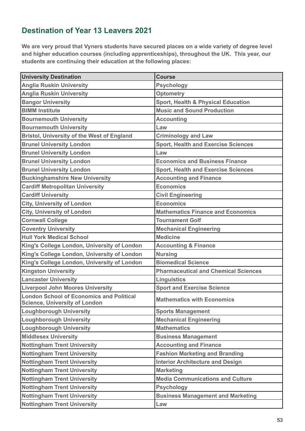# **Destination of Year 13 Leavers 2021**

**We are very proud that Vyners students have secured places on a wide variety of degree level and higher education courses (including apprenticeships), throughout the UK. This year, our students are continuing their education at the following places:**

| <b>University Destination</b>                                                    | <b>Course</b>                                 |
|----------------------------------------------------------------------------------|-----------------------------------------------|
| <b>Anglia Ruskin University</b>                                                  | <b>Psychology</b>                             |
| <b>Anglia Ruskin University</b>                                                  | <b>Optometry</b>                              |
| <b>Bangor University</b>                                                         | <b>Sport, Health &amp; Physical Education</b> |
| <b>BIMM Institute</b>                                                            | <b>Music and Sound Production</b>             |
| <b>Bournemouth University</b>                                                    | <b>Accounting</b>                             |
| <b>Bournemouth University</b>                                                    | Law                                           |
| <b>Bristol, University of the West of England</b>                                | <b>Criminology and Law</b>                    |
| <b>Brunel University London</b>                                                  | <b>Sport, Health and Exercise Sciences</b>    |
| <b>Brunel University London</b>                                                  | Law                                           |
| <b>Brunel University London</b>                                                  | <b>Economics and Business Finance</b>         |
| <b>Brunel University London</b>                                                  | <b>Sport, Health and Exercise Sciences</b>    |
| <b>Buckinghamshire New University</b>                                            | <b>Accounting and Finance</b>                 |
| <b>Cardiff Metropolitan University</b>                                           | <b>Economics</b>                              |
| <b>Cardiff University</b>                                                        | <b>Civil Engineering</b>                      |
| <b>City, University of London</b>                                                | <b>Economics</b>                              |
| <b>City, University of London</b>                                                | <b>Mathematics Finance and Economics</b>      |
| <b>Cornwall College</b>                                                          | <b>Tournament Golf</b>                        |
| <b>Coventry University</b>                                                       | <b>Mechanical Engineering</b>                 |
| <b>Hull York Medical School</b>                                                  | <b>Medicine</b>                               |
| King's College London, University of London                                      | <b>Accounting &amp; Finance</b>               |
| King's College London, University of London                                      | <b>Nursing</b>                                |
| King's College London, University of London                                      | <b>Biomedical Science</b>                     |
| <b>Kingston University</b>                                                       | <b>Pharmaceutical and Chemical Sciences</b>   |
| <b>Lancaster University</b>                                                      | <b>Linguistics</b>                            |
| <b>Liverpool John Moores University</b>                                          | <b>Sport and Exercise Science</b>             |
| <b>London School of Economics and Political</b><br>Science, University of London | <b>Mathematics with Economics</b>             |
| <b>Loughborough University</b>                                                   | <b>Sports Management</b>                      |
| <b>Loughborough University</b>                                                   | <b>Mechanical Engineering</b>                 |
| <b>Loughborough University</b>                                                   | <b>Mathematics</b>                            |
| <b>Middlesex University</b>                                                      | <b>Business Management</b>                    |
| <b>Nottingham Trent University</b>                                               | <b>Accounting and Finance</b>                 |
| <b>Nottingham Trent University</b>                                               | <b>Fashion Marketing and Branding</b>         |
| <b>Nottingham Trent University</b>                                               | <b>Interior Architecture and Design</b>       |
| <b>Nottingham Trent University</b>                                               | <b>Marketing</b>                              |
| <b>Nottingham Trent University</b>                                               | <b>Media Communications and Culture</b>       |
| <b>Nottingham Trent University</b>                                               | <b>Psychology</b>                             |
| <b>Nottingham Trent University</b>                                               | <b>Business Management and Marketing</b>      |
| <b>Nottingham Trent University</b>                                               | Law                                           |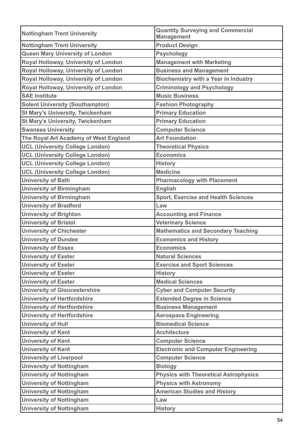| <b>Nottingham Trent University</b>      | <b>Quantity Surveying and Commercial</b><br><b>Management</b> |
|-----------------------------------------|---------------------------------------------------------------|
| <b>Nottingham Trent University</b>      | <b>Product Design</b>                                         |
| Queen Mary University of London         | <b>Psychology</b>                                             |
| Royal Holloway, University of London    | <b>Management with Marketing</b>                              |
| Royal Holloway, University of London    | <b>Business and Management</b>                                |
| Royal Holloway, University of London    | <b>Biochemistry with a Year in Industry</b>                   |
| Royal Holloway, University of London    | <b>Criminology and Psychology</b>                             |
| <b>SAE Institute</b>                    | <b>Music Business</b>                                         |
| <b>Solent University (Southampton)</b>  | <b>Fashion Photography</b>                                    |
| <b>St Mary's University, Twickenham</b> | <b>Primary Education</b>                                      |
| <b>St Mary's University, Twickenham</b> | <b>Primary Education</b>                                      |
| <b>Swansea University</b>               | <b>Computer Science</b>                                       |
| The Royal Art Academy of West England   | <b>Art Foundation</b>                                         |
| <b>UCL (University College London)</b>  | <b>Theoretical Physics</b>                                    |
| <b>UCL (University College London)</b>  | <b>Economics</b>                                              |
| <b>UCL (University College London)</b>  | <b>History</b>                                                |
| <b>UCL (University College London)</b>  | <b>Medicine</b>                                               |
| <b>University of Bath</b>               | <b>Pharmacology with Placement</b>                            |
| <b>University of Birmingham</b>         | <b>English</b>                                                |
| <b>University of Birmingham</b>         | <b>Sport, Exercise and Health Sciences</b>                    |
| <b>University of Bradford</b>           | Law                                                           |
| <b>University of Brighton</b>           | <b>Accounting and Finance</b>                                 |
| <b>University of Bristol</b>            | <b>Veterinary Science</b>                                     |
| <b>University of Chichester</b>         | <b>Mathematics and Secondary Teaching</b>                     |
| <b>University of Dundee</b>             | <b>Economics and History</b>                                  |
| <b>University of Essex</b>              | <b>Economics</b>                                              |
| <b>University of Exeter</b>             | <b>Natural Sciences</b>                                       |
| <b>University of Exeter</b>             | <b>Exercise and Sport Sciences</b>                            |
| <b>University of Exeter</b>             | <b>History</b>                                                |
| <b>University of Exeter</b>             | <b>Medical Sciences</b>                                       |
| <b>University of Gloucestershire</b>    | <b>Cyber and Computer Security</b>                            |
| <b>University of Hertfordshire</b>      | <b>Extended Degree in Science</b>                             |
| <b>University of Hertfordshire</b>      | <b>Business Management</b>                                    |
| <b>University of Hertfordshire</b>      | <b>Aerospace Engineering</b>                                  |
| <b>University of Hull</b>               | <b>Biomedical Science</b>                                     |
| <b>University of Kent</b>               | <b>Architecture</b>                                           |
| <b>University of Kent</b>               | <b>Computer Science</b>                                       |
| <b>University of Kent</b>               | <b>Electronic and Computer Engineering</b>                    |
| <b>University of Liverpool</b>          | <b>Computer Science</b>                                       |
| <b>University of Nottingham</b>         | <b>Biology</b>                                                |
| <b>University of Nottingham</b>         | <b>Physics with Theoretical Astrophysics</b>                  |
| <b>University of Nottingham</b>         | <b>Physics with Astronomy</b>                                 |
| <b>University of Nottingham</b>         | <b>American Studies and History</b>                           |
| <b>University of Nottingham</b>         | Law                                                           |
| <b>University of Nottingham</b>         | <b>History</b>                                                |
|                                         |                                                               |